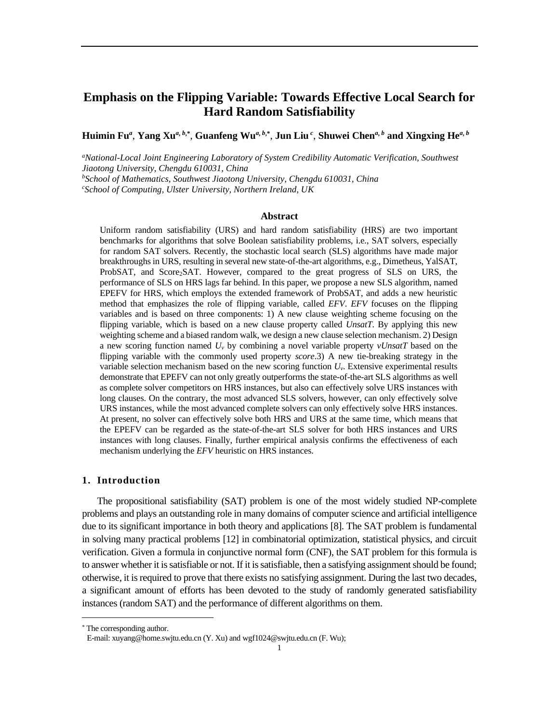# **Emphasis on the Flipping Variable: Towards Effective Local Search for Hard Random Satisfiability**

Huimin Fu", Yang Xu<sup>a, b,</sup>\*, Guanfeng Wu<sup>a, b,</sup>\*, Jun Liu <sup>c</sup>, Shuwei Chen<sup>a, b</sup> and Xingxing He<sup>a, b</sup>

*<sup>a</sup>National-Local Joint Engineering Laboratory of System Credibility Automatic Verification, Southwest Jiaotong University, Chengdu 610031, China*

*<sup>b</sup>School of Mathematics, Southwest Jiaotong University, Chengdu 610031, China*

*<sup>c</sup>School of Computing, Ulster University, Northern Ireland, UK*

#### **Abstract**

Uniform random satisfiability (URS) and hard random satisfiability (HRS) are two important benchmarks for algorithms that solve Boolean satisfiability problems, i.e., SAT solvers, especially for random SAT solvers. Recently, the stochastic local search (SLS) algorithms have made major breakthroughs in URS, resulting in several new state-of-the-art algorithms, e.g., Dimetheus, YalSAT, ProbSAT, and Score2SAT. However, compared to the great progress of SLS on URS, the performance of SLS on HRS lags far behind. In this paper, we propose a new SLS algorithm, named EPEFV for HRS, which employs the extended framework of ProbSAT, and adds a new heuristic method that emphasizes the role of flipping variable, called *EFV*. *EFV* focuses on the flipping variables and is based on three components: 1) A new clause weighting scheme focusing on the flipping variable, which is based on a new clause property called *UnsatT*. By applying this new weighting scheme and a biased random walk, we design a new clause selection mechanism. 2) Design a new scoring function named  $U_v$  by combining a novel variable property  $vUnsaT$  based on the flipping variable with the commonly used property *score*.3) A new tie-breaking strategy in the variable selection mechanism based on the new scoring function *Uv*. Extensive experimental results demonstrate that EPEFV can not only greatly outperforms the state-of-the-art SLS algorithms as well as complete solver competitors on HRS instances, but also can effectively solve URS instances with long clauses. On the contrary, the most advanced SLS solvers, however, can only effectively solve URS instances, while the most advanced complete solvers can only effectively solve HRS instances. At present, no solver can effectively solve both HRS and URS at the same time, which means that the EPEFV can be regarded as the state-of-the-art SLS solver for both HRS instances and URS instances with long clauses. Finally, further empirical analysis confirms the effectiveness of each mechanism underlying the *EFV* heuristic on HRS instances.

### **1. Introduction**

The propositional satisfiability (SAT) problem is one of the most widely studied NP-complete problems and plays an outstanding role in many domains of computer science and artificial intelligence due to its significant importance in both theory and applications [8]. The SAT problem is fundamental in solving many practical problems [12] in combinatorial optimization, statistical physics, and circuit verification. Given a formula in conjunctive normal form (CNF), the SAT problem for this formula is to answer whether it is satisfiable or not. If it is satisfiable, then a satisfying assignmentshould be found; otherwise, it is required to prove that there exists no satisfying assignment. During the last two decades, a significant amount of efforts has been devoted to the study of randomly generated satisfiability instances (random SAT) and the performance of different algorithms on them.

<sup>\*</sup> The corresponding author.

E-mail[: xuyang@home.swjtu.edu.cn](mailto:xuyang@home.swjtu.edu.cn) (Y. Xu) and [wgf1024@swjtu.edu.cn](mailto:wgf1024@swjtu.edu.cn) (F. Wu);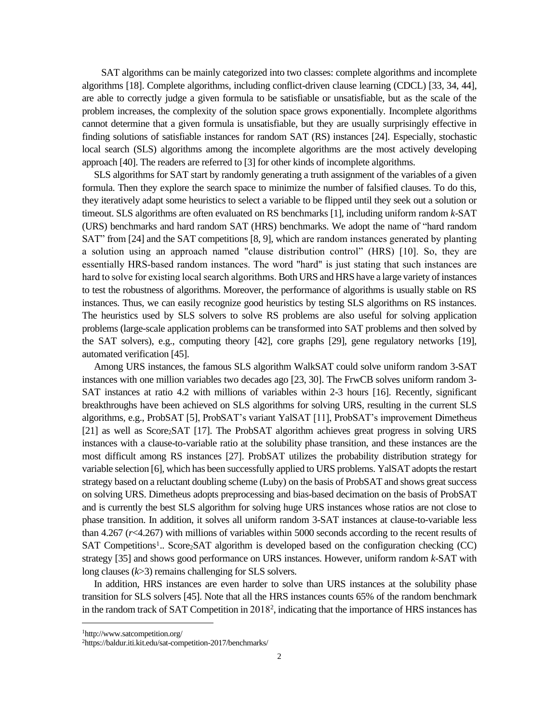SAT algorithms can be mainly categorized into two classes: complete algorithms and incomplete algorithms [18]. Complete algorithms, including conflict-driven clause learning (CDCL) [33, 34, 44], are able to correctly judge a given formula to be satisfiable or unsatisfiable, but as the scale of the problem increases, the complexity of the solution space grows exponentially. Incomplete algorithms cannot determine that a given formula is unsatisfiable, but they are usually surprisingly effective in finding solutions of satisfiable instances for random SAT (RS) instances [24]. Especially, stochastic local search (SLS) algorithms among the incomplete algorithms are the most actively developing approach [40]. The readers are referred to [3] for other kinds of incomplete algorithms.

SLS algorithms for SAT start by randomly generating a truth assignment of the variables of a given formula. Then they explore the search space to minimize the number of falsified clauses. To do this, they iteratively adapt some heuristics to select a variable to be flipped until they seek out a solution or timeout. SLS algorithms are often evaluated on RS benchmarks [1], including uniform random *k*-SAT (URS) benchmarks and hard random SAT (HRS) benchmarks. We adopt the name of "hard random SAT" from [24] and the SAT competitions [8, 9], which are random instances generated by planting a solution using an approach named "clause distribution control" (HRS) [10]. So, they are essentially HRS-based random instances. The word "hard" is just stating that such instances are hard to solve for existing local search algorithms. Both URS and HRS have a large variety of instances to test the robustness of algorithms. Moreover, the performance of algorithms is usually stable on RS instances. Thus, we can easily recognize good heuristics by testing SLS algorithms on RS instances. The heuristics used by SLS solvers to solve RS problems are also useful for solving application problems (large-scale application problems can be transformed into SAT problems and then solved by the SAT solvers), e.g., computing theory [42], core graphs [29], gene regulatory networks [19], automated verification [45].

Among URS instances, the famous SLS algorithm WalkSAT could solve uniform random 3-SAT instances with one million variables two decades ago [23, 30]. The FrwCB solves uniform random 3- SAT instances at ratio 4.2 with millions of variables within 2-3 hours [16]. Recently, significant breakthroughs have been achieved on SLS algorithms for solving URS, resulting in the current SLS algorithms, e.g., ProbSAT [5], ProbSAT's variant YalSAT [11], ProbSAT's improvement Dimetheus  $[21]$  as well as Score<sub>2</sub>SAT  $[17]$ . The ProbSAT algorithm achieves great progress in solving URS instances with a clause-to-variable ratio at the solubility phase transition, and these instances are the most difficult among RS instances [27]. ProbSAT utilizes the probability distribution strategy for variable selection [6], which has been successfully applied to URS problems. YalSAT adopts the restart strategy based on a reluctant doubling scheme (Luby) on the basis of ProbSAT and shows great success on solving URS. Dimetheus adopts preprocessing and bias-based decimation on the basis of ProbSAT and is currently the best SLS algorithm for solving huge URS instances whose ratios are not close to phase transition. In addition, it solves all uniform random 3-SAT instances at clause-to-variable less than 4.267 (*r*<4.267) with millions of variables within 5000 seconds according to the recent results of SAT Competitions<sup>1</sup>.. Score<sub>2</sub>SAT algorithm is developed based on the configuration checking (CC) strategy [35] and shows good performance on URS instances. However, uniform random *k*-SAT with long clauses (*k*>3) remains challenging for SLS solvers.

In addition, HRS instances are even harder to solve than URS instances at the solubility phase transition for SLS solvers [45]. Note that all the HRS instances counts 65% of the random benchmark in the random track of SAT Competition in 2018<sup>2</sup> , indicating that the importance of HRS instances has

<sup>1</sup>http://www.satcompetition.org/

<sup>&</sup>lt;sup>2</sup>https://baldur.iti.kit.edu/sat-competition-2017/benchmarks/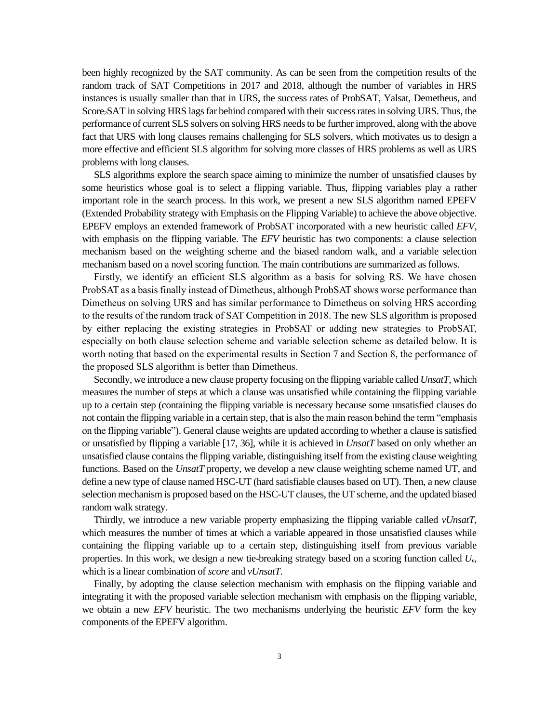been highly recognized by the SAT community. As can be seen from the competition results of the random track of SAT Competitions in 2017 and 2018, although the number of variables in HRS instances is usually smaller than that in URS, the success rates of ProbSAT, Yalsat, Demetheus, and Score2SAT in solving HRS lags far behind compared with their success rates in solving URS. Thus, the performance of current SLS solvers on solving HRS needsto be further improved, along with the above fact that URS with long clauses remains challenging for SLS solvers, which motivates us to design a more effective and efficient SLS algorithm for solving more classes of HRS problems as well as URS problems with long clauses.

SLS algorithms explore the search space aiming to minimize the number of unsatisfied clauses by some heuristics whose goal is to select a flipping variable. Thus, flipping variables play a rather important role in the search process. In this work, we present a new SLS algorithm named EPEFV (Extended Probability strategy with Emphasis on the Flipping Variable) to achieve the above objective. EPEFV employs an extended framework of ProbSAT incorporated with a new heuristic called *EFV*, with emphasis on the flipping variable. The *EFV* heuristic has two components: a clause selection mechanism based on the weighting scheme and the biased random walk, and a variable selection mechanism based on a novel scoring function. The main contributions are summarized as follows.

Firstly, we identify an efficient SLS algorithm as a basis for solving RS. We have chosen ProbSAT as a basis finally instead of Dimetheus, although ProbSAT shows worse performance than Dimetheus on solving URS and has similar performance to Dimetheus on solving HRS according to the results of the random track of SAT Competition in 2018. The new SLS algorithm is proposed by either replacing the existing strategies in ProbSAT or adding new strategies to ProbSAT, especially on both clause selection scheme and variable selection scheme as detailed below. It is worth noting that based on the experimental results in Section 7 and Section 8, the performance of the proposed SLS algorithm is better than Dimetheus.

Secondly, we introduce a new clause property focusing on the flipping variable called *UnsatT*, which measures the number of steps at which a clause was unsatisfied while containing the flipping variable up to a certain step (containing the flipping variable is necessary because some unsatisfied clauses do not contain the flipping variable in a certain step, that is also the main reason behind the term "emphasis on the flipping variable"). General clause weights are updated according to whether a clause is satisfied or unsatisfied by flipping a variable [17, 36], while it is achieved in *UnsatT* based on only whether an unsatisfied clause contains the flipping variable, distinguishing itself from the existing clause weighting functions. Based on the *UnsatT* property, we develop a new clause weighting scheme named UT, and define a new type of clause named HSC-UT (hard satisfiable clauses based on UT). Then, a new clause selection mechanism is proposed based on the HSC-UT clauses, the UT scheme, and the updated biased random walk strategy.

Thirdly, we introduce a new variable property emphasizing the flipping variable called *vUnsatT*, which measures the number of times at which a variable appeared in those unsatisfied clauses while containing the flipping variable up to a certain step, distinguishing itself from previous variable properties. In this work, we design a new tie-breaking strategy based on a scoring function called  $U_{\nu}$ , which is a linear combination of *score* and *vUnsatT*.

Finally, by adopting the clause selection mechanism with emphasis on the flipping variable and integrating it with the proposed variable selection mechanism with emphasis on the flipping variable, we obtain a new *EFV* heuristic. The two mechanisms underlying the heuristic *EFV* form the key components of the EPEFV algorithm.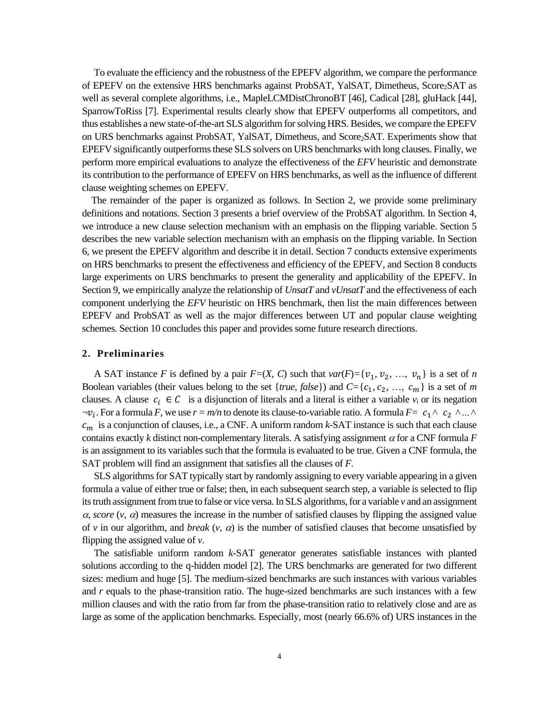To evaluate the efficiency and the robustness of the EPEFV algorithm, we compare the performance of EPEFV on the extensive HRS benchmarks against ProbSAT, YalSAT, Dimetheus, Score2SAT as well as several complete algorithms, i.e., MapleLCMDistChronoBT [46], Cadical [28], gluHack [44], SparrowToRiss [7]. Experimental results clearly show that EPEFV outperforms all competitors, and thus establishes a new state-of-the-art SLS algorithm for solving HRS. Besides, we compare the EPEFV on URS benchmarks against ProbSAT, YalSAT, Dimetheus, and Score2SAT. Experiments show that EPEFV significantly outperforms these SLS solvers on URS benchmarks with long clauses. Finally, we perform more empirical evaluations to analyze the effectiveness of the *EFV* heuristic and demonstrate its contribution to the performance of EPEFV on HRS benchmarks, as well as the influence of different clause weighting schemes on EPEFV.

The remainder of the paper is organized as follows. In Section 2, we provide some preliminary definitions and notations. Section 3 presents a brief overview of the ProbSAT algorithm. In Section 4, we introduce a new clause selection mechanism with an emphasis on the flipping variable. Section 5 describes the new variable selection mechanism with an emphasis on the flipping variable. In Section 6, we present the EPEFV algorithm and describe it in detail. Section 7 conducts extensive experiments on HRS benchmarks to present the effectiveness and efficiency of the EPEFV, and Section 8 conducts large experiments on URS benchmarks to present the generality and applicability of the EPEFV. In Section 9, we empirically analyze the relationship of *UnsatT* and *vUnsatT* and the effectiveness of each component underlying the *EFV* heuristic on HRS benchmark, then list the main differences between EPEFV and ProbSAT as well as the major differences between UT and popular clause weighting schemes. Section 10 concludes this paper and provides some future research directions.

### **2. Preliminaries**

A SAT instance *F* is defined by a pair  $F=(X, C)$  such that  $var(F)=\{v_1, v_2, ..., v_n\}$  is a set of *n* Boolean variables (their values belong to the set {*true*, *false*}) and  $C = \{c_1, c_2, ..., c_m\}$  is a set of *m* clauses. A clause  $c_i \in C$  is a disjunction of literals and a literal is either a variable  $v_i$  or its negation  $\neg v_i$ . For a formula *F*, we use  $r = m/n$  to denote its clause-to-variable ratio. A formula  $F = c_1 \wedge c_2 \wedge ... \wedge c_n$  $c_m$  is a conjunction of clauses, i.e., a CNF. A uniform random  $k$ -SAT instance is such that each clause contains exactly *k* distinct non-complementary literals. A satisfying assignment  $\alpha$  for a CNF formula *F* is an assignment to its variables such that the formula is evaluated to be true. Given a CNF formula, the SAT problem will find an assignment that satisfies all the clauses of *F.*

SLS algorithms for SAT typically start by randomly assigning to every variable appearing in a given formula a value of either true or false; then, in each subsequent search step, a variable is selected to flip its truth assignment from true to false or vice versa.In SLS algorithms, for a variable *v* and an assignment  $\alpha$ , *score*  $(\nu, \alpha)$  measures the increase in the number of satisfied clauses by flipping the assigned value of  $\nu$  in our algorithm, and *break*  $(\nu, \alpha)$  is the number of satisfied clauses that become unsatisfied by flipping the assigned value of *v*.

The satisfiable uniform random *k*-SAT generator generates satisfiable instances with planted solutions according to the q-hidden model [2]. The URS benchmarks are generated for two different sizes: medium and huge [5]. The medium-sized benchmarks are such instances with various variables and *r* equals to the phase-transition ratio. The huge-sized benchmarks are such instances with a few million clauses and with the ratio from far from the phase-transition ratio to relatively close and are as large as some of the application benchmarks. Especially, most (nearly 66.6% of) URS instances in the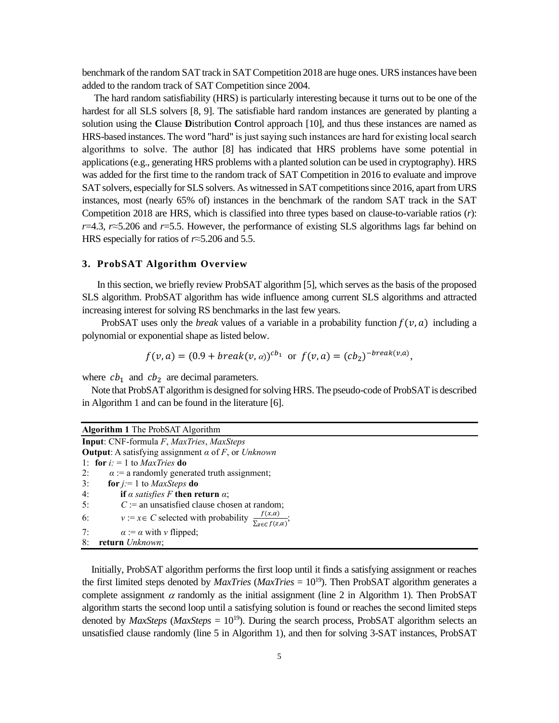benchmark of the random SAT track in SAT Competition 2018 are huge ones. URS instances have been added to the random track of SAT Competition since 2004.

The hard random satisfiability (HRS) is particularly interesting because it turns out to be one of the hardest for all SLS solvers [8, 9]. The satisfiable hard random instances are generated by planting a solution using the **C**lause **D**istribution **C**ontrol approach [10], and thus these instances are named as HRS-based instances.The word "hard" is just saying such instances are hard for existing local search algorithms to solve. The author [8] has indicated that HRS problems have some potential in applications (e.g., generating HRS problems with a planted solution can be used in cryptography). HRS was added for the first time to the random track of SAT Competition in 2016 to evaluate and improve SAT solvers, especially for SLS solvers. As witnessed in SAT competitions since 2016, apart from URS instances, most (nearly 65% of) instances in the benchmark of the random SAT track in the SAT Competition 2018 are HRS, which is classified into three types based on clause-to-variable ratios (*r*): *r*=4.3, *r*≈5.206 and *r*=5.5. However, the performance of existing SLS algorithms lags far behind on HRS especially for ratios of *r*≈5.206 and 5.5.

### **3. ProbSAT Algorithm Overview**

In this section, we briefly review ProbSAT algorithm [5], which serves as the basis of the proposed SLS algorithm. ProbSAT algorithm has wide influence among current SLS algorithms and attracted increasing interest for solving RS benchmarks in the last few years.

ProbSAT uses only the *break* values of a variable in a probability function  $f(v, a)$  including a polynomial or exponential shape as listed below.

$$
f(v, a) = (0.9 + break(v, a))^{cb_1}
$$
 or  $f(v, a) = (cb_2)^{-break(v, a)}$ ,

where  $cb_1$  and  $cb_2$  are decimal parameters.

Note that ProbSAT algorithm is designed for solving HRS. The pseudo-code of ProbSAT is described in Algorithm 1 and can be found in the literature [6].

| <b>Algorithm 1</b> The ProbSAT Algorithm                                                            |
|-----------------------------------------------------------------------------------------------------|
| <b>Input:</b> CNF-formula F, MaxTries, MaxSteps                                                     |
| <b>Output:</b> A satisfying assignment $\alpha$ of F, or Unknown                                    |
| 1: for $i := 1$ to <i>MaxTries</i> do                                                               |
| 2:<br>$\alpha$ := a randomly generated truth assignment;                                            |
| 3:<br>for $j = 1$ to <i>MaxSteps</i> do                                                             |
| 4:<br>if $\alpha$ satisfies F then return $\alpha$ ;                                                |
| 5:<br>$C :=$ an unsatisfied clause chosen at random;                                                |
| $v := x \in C$ selected with probability $\frac{f(x, \alpha)}{\sum_{z \in C} f(z, \alpha)}$ ;<br>6: |
| 7:<br>$\alpha := \alpha$ with v flipped;                                                            |
| 8: return Unknown;                                                                                  |

Initially, ProbSAT algorithm performs the first loop until it finds a satisfying assignment or reaches the first limited steps denoted by *MaxTries* (*MaxTries* = 10<sup>19</sup>). Then ProbSAT algorithm generates a complete assignment  $\alpha$  randomly as the initial assignment (line 2 in Algorithm 1). Then ProbSAT algorithm starts the second loop until a satisfying solution is found or reaches the second limited steps denoted by *MaxSteps* (*MaxSteps* =  $10^{19}$ ). During the search process, ProbSAT algorithm selects an unsatisfied clause randomly (line 5 in Algorithm 1), and then for solving 3-SAT instances, ProbSAT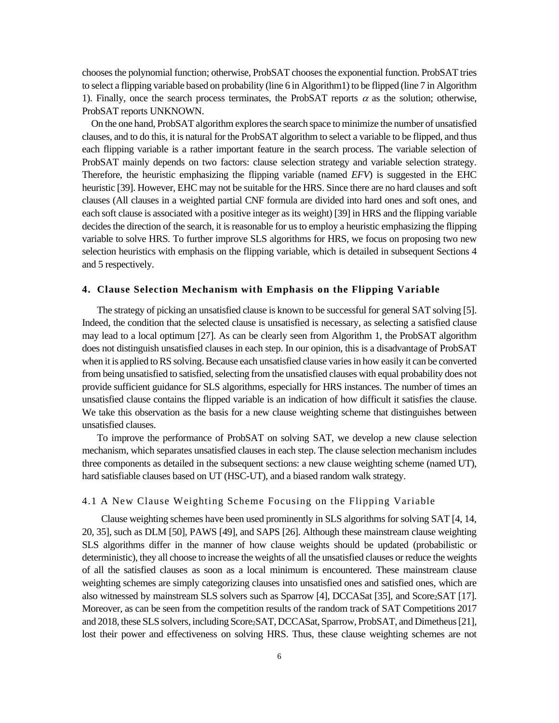chooses the polynomial function; otherwise, ProbSAT chooses the exponential function. ProbSAT tries to select a flipping variable based on probability (line 6 in Algorithm1) to be flipped (line 7 in Algorithm 1). Finally, once the search process terminates, the ProbSAT reports  $\alpha$  as the solution; otherwise, ProbSAT reports UNKNOWN.

On the one hand, ProbSAT algorithm explores the search space to minimize the number of unsatisfied clauses, and to do this, it is natural for the ProbSAT algorithm to select a variable to be flipped, and thus each flipping variable is a rather important feature in the search process. The variable selection of ProbSAT mainly depends on two factors: clause selection strategy and variable selection strategy. Therefore, the heuristic emphasizing the flipping variable (named *EFV*) is suggested in the EHC heuristic [39]. However, EHC may not be suitable for the HRS. Since there are no hard clauses and soft clauses (All clauses in a weighted partial CNF formula are divided into hard ones and soft ones, and each soft clause is associated with a positive integer as its weight) [39] in HRS and the flipping variable decides the direction of the search, it is reasonable for us to employ a heuristic emphasizing the flipping variable to solve HRS. To further improve SLS algorithms for HRS, we focus on proposing two new selection heuristics with emphasis on the flipping variable, which is detailed in subsequent Sections 4 and 5 respectively.

### **4. Clause Selection Mechanism with Emphasis on the Flipping Variable**

The strategy of picking an unsatisfied clause is known to be successful for general SAT solving [5]. Indeed, the condition that the selected clause is unsatisfied is necessary, as selecting a satisfied clause may lead to a local optimum [27]. As can be clearly seen from Algorithm 1, the ProbSAT algorithm does not distinguish unsatisfied clauses in each step. In our opinion, this is a disadvantage of ProbSAT when it is applied to RS solving. Because each unsatisfied clause varies in how easily it can be converted from being unsatisfied to satisfied, selecting from the unsatisfied clauses with equal probability does not provide sufficient guidance for SLS algorithms, especially for HRS instances. The number of times an unsatisfied clause contains the flipped variable is an indication of how difficult it satisfies the clause. We take this observation as the basis for a new clause weighting scheme that distinguishes between unsatisfied clauses.

To improve the performance of ProbSAT on solving SAT, we develop a new clause selection mechanism, which separates unsatisfied clauses in each step. The clause selection mechanism includes three components as detailed in the subsequent sections: a new clause weighting scheme (named UT), hard satisfiable clauses based on UT (HSC-UT), and a biased random walk strategy.

### 4.1 A New Clause Weighting Scheme Focusing on the Flipping Variable

Clause weighting schemes have been used prominently in SLS algorithms for solving SAT [4, 14, 20, 35], such as DLM [50], PAWS [49], and SAPS [26]. Although these mainstream clause weighting SLS algorithms differ in the manner of how clause weights should be updated (probabilistic or deterministic), they all choose to increase the weights of all the unsatisfied clauses or reduce the weights of all the satisfied clauses as soon as a local minimum is encountered. These mainstream clause weighting schemes are simply categorizing clauses into unsatisfied ones and satisfied ones, which are also witnessed by mainstream SLS solvers such as Sparrow [4], DCCASat [35], and Score<sub>2</sub>SAT [17]. Moreover, as can be seen from the competition results of the random track of SAT Competitions 2017 and 2018, these SLS solvers, including Score<sub>2</sub>SAT, DCCASat, Sparrow, ProbSAT, and Dimetheus [21], lost their power and effectiveness on solving HRS. Thus, these clause weighting schemes are not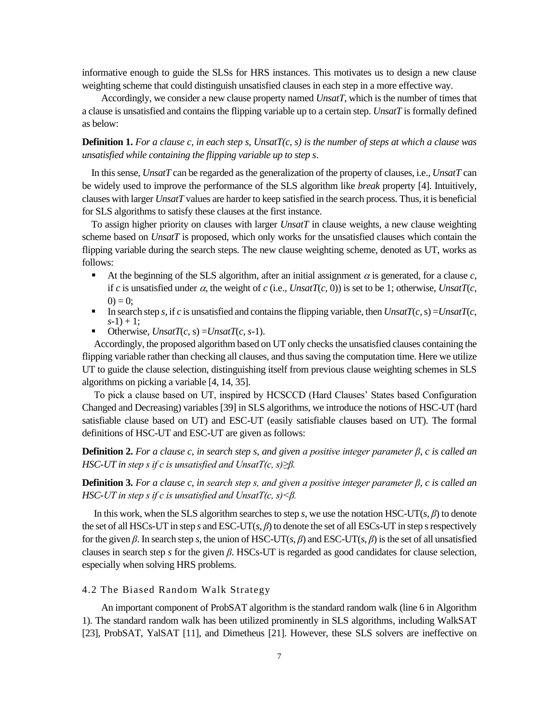informative enough to guide the SLSs for HRS instances. This motivates us to design a new clause weighting scheme that could distinguish unsatisfied clauses in each step in a more effective way.

Accordingly, we consider a new clause property named *UnsatT*, which is the number of times that a clause is unsatisfied and contains the flipping variable up to a certain step. *UnsatT* is formally defined as below:

**Definition 1.** *For a clause c, in each step s, UnsatT(c, s) is the number of steps at which a clause was unsatisfied while containing the flipping variable up to step s*.

In this sense, *UnsatT* can be regarded as the generalization of the property of clauses, i.e., *UnsatT* can be widely used to improve the performance of the SLS algorithm like *break* property [4]. Intuitively, clauses with larger *UnsatT* values are harder to keep satisfied in the search process. Thus, it is beneficial for SLS algorithms to satisfy these clauses at the first instance.

To assign higher priority on clauses with larger *UnsatT* in clause weights, a new clause weighting scheme based on *UnsatT* is proposed, which only works for the unsatisfied clauses which contain the flipping variable during the search steps. The new clause weighting scheme, denoted as UT, works as follows:

- At the beginning of the SLS algorithm, after an initial assignment  $\alpha$  is generated, for a clause  $c$ , if *c* is unsatisfied under  $\alpha$ , the weight of *c* (i.e., *UnsatT*(*c*, 0)) is set to be 1; otherwise, *UnsatT*(*c*,  $(0) = 0$ ;
- **•** In search step *s*, if *c* is unsatisfied and contains the flipping variable, then  $UnsatT(c, s) = UnsatT(c, s)$  $s-1$ ) + 1;
- Otherwise,  $UnsatT(c, s) = UnsatT(c, s-1)$ .

Accordingly, the proposed algorithm based on UT only checks the unsatisfied clauses containing the flipping variable rather than checking all clauses, and thus saving the computation time. Here we utilize UT to guide the clause selection, distinguishing itself from previous clause weighting schemes in SLS algorithms on picking a variable [4, 14, 35].

To pick a clause based on UT, inspired by HCSCCD (Hard Clauses' States based Configuration Changed and Decreasing) variables [39] in SLS algorithms, we introduce the notions of HSC-UT (hard satisfiable clause based on UT) and ESC-UT (easily satisfiable clauses based on UT). The formal definitions of HSC-UT and ESC-UT are given as follows:

**Definition 2.** *For a clause c, in search step s, and given a positive integer parameter β, c is called an HSC-UT in step s if c is unsatisfied and UnsatT(c, s)≥β.*

**Definition 3.** *For a clause c, in search step s, and given a positive integer parameter β, c is called an HSC-UT in step s if c is unsatisfied and UnsatT(c, s)<β.*

In this work, when the SLS algorithm searches to step *s*, we use the notation HSC-UT(*s*, *β*) to denote the set of all HSCs-UT in step *s* and ESC-UT( $s$ ,  $\beta$ ) to denote the set of all ESCs-UT in step *s* respectively for the given  $\beta$ . In search step *s*, the union of HSC-UT(*s*,  $\beta$ ) and ESC-UT(*s*,  $\beta$ ) is the set of all unsatisfied clauses in search step *s* for the given *β*. HSCs-UT is regarded as good candidates for clause selection, especially when solving HRS problems.

# 4.2 The Biased Random Walk Strategy

An important component of ProbSAT algorithm is the standard random walk (line 6 in Algorithm 1). The standard random walk has been utilized prominently in SLS algorithms, including WalkSAT [23], ProbSAT, YalSAT [11], and Dimetheus [21]. However, these SLS solvers are ineffective on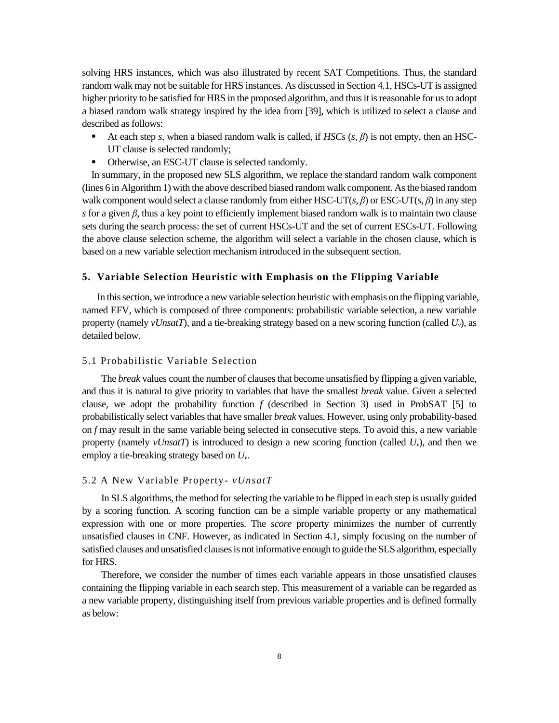solving HRS instances, which was also illustrated by recent SAT Competitions. Thus, the standard random walk may not be suitable for HRS instances. As discussed in Section 4.1, HSCs-UT is assigned higher priority to be satisfied for HRS in the proposed algorithm, and thus it is reasonable for us to adopt a biased random walk strategy inspired by the idea from [39], which is utilized to select a clause and described as follows:

- At each step *s*, when a biased random walk is called, if *HSCs* (*s*, *β*) is not empty, then an HSC-UT clause is selected randomly;
- Otherwise, an ESC-UT clause is selected randomly.

In summary, in the proposed new SLS algorithm, we replace the standard random walk component (lines 6 in Algorithm 1) with the above described biased random walk component. As the biased random walk component would select a clause randomly from either HSC-UT(*s*, *β*) or ESC-UT(*s*, *β*) in any step *s* for a given *β*, thus a key point to efficiently implement biased random walk is to maintain two clause sets during the search process: the set of current HSCs-UT and the set of current ESCs-UT. Following the above clause selection scheme, the algorithm will select a variable in the chosen clause, which is based on a new variable selection mechanism introduced in the subsequent section.

### **5. Variable Selection Heuristic with Emphasis on the Flipping Variable**

In this section, we introduce a new variable selection heuristic with emphasis on the flipping variable, named EFV, which is composed of three components: probabilistic variable selection, a new variable property (namely *vUnsatT*), and a tie-breaking strategy based on a new scoring function (called *Uv*), as detailed below.

# 5.1 Probabilistic Variable Selection

The *break* values count the number of clauses that become unsatisfied by flipping a given variable, and thus it is natural to give priority to variables that have the smallest *break* value. Given a selected clause, we adopt the probability function *f* (described in Section 3) used in ProbSAT [5] to probabilistically select variables that have smaller *break* values. However, using only probability-based on *f* may result in the same variable being selected in consecutive steps. To avoid this, a new variable property (namely *vUnsatT*) is introduced to design a new scoring function (called  $U_v$ ), and then we employ a tie-breaking strategy based on *Uv*.

### 5.2 A New Variable Property- *vUnsatT*

In SLS algorithms, the method for selecting the variable to be flipped in each step is usually guided by a scoring function. A scoring function can be a simple variable property or any mathematical expression with one or more properties. The *score* property minimizes the number of currently unsatisfied clauses in CNF. However, as indicated in Section 4.1, simply focusing on the number of satisfied clauses and unsatisfied clauses is not informative enough to guide the SLS algorithm, especially for HRS.

Therefore, we consider the number of times each variable appears in those unsatisfied clauses containing the flipping variable in each search step. This measurement of a variable can be regarded as a new variable property, distinguishing itself from previous variable properties and is defined formally as below: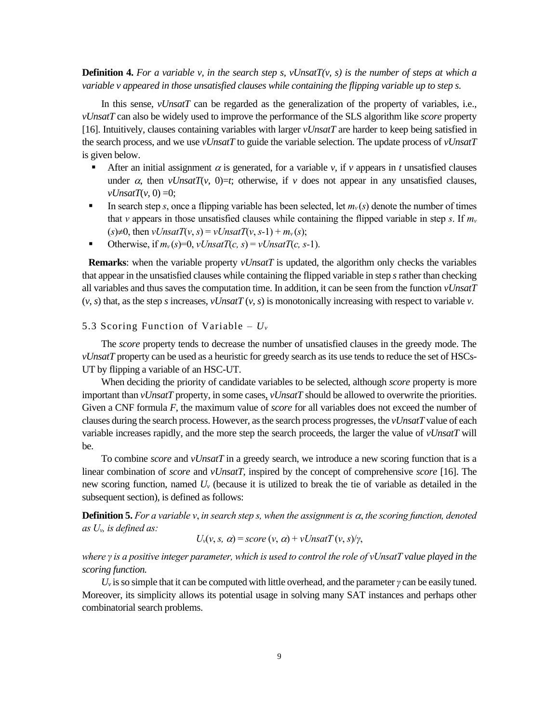**Definition 4.** For a variable v, in the search step s, vUnsatT(v, s) is the number of steps at which a *variable v appeared in those unsatisfied clauses while containing the flipping variable up to step s.* 

In this sense, *vUnsatT* can be regarded as the generalization of the property of variables, i.e., *vUnsatT* can also be widely used to improve the performance of the SLS algorithm like *score* property [16]. Intuitively, clauses containing variables with larger *vUnsatT* are harder to keep being satisfied in the search process, and we use *vUnsatT* to guide the variable selection. The update process of *vUnsatT* is given below.

- **•** After an initial assignment  $\alpha$  is generated, for a variable  $\nu$ , if  $\nu$  appears in *t* unsatisfied clauses under  $\alpha$ , then *vUnsatT*(*v*, 0)=*t*; otherwise, if *v* does not appear in any unsatisfied clauses,  $vUnsatT(v, 0) = 0$ ;
- In search step *s*, once a flipping variable has been selected, let  $m<sub>v</sub>(s)$  denote the number of times that *v* appears in those unsatisfied clauses while containing the flipped variable in step *s*. If  $m<sub>v</sub>$  $(s) \neq 0$ , then  $vUnsatT(v, s) = vUnsatT(v, s-1) + m_v(s)$ ;
- Otherwise, if  $m_v(s)=0$ ,  $vUnsatT(c, s) = vUnsatT(c, s-1)$ .

**Remarks**: when the variable property *vUnsatT* is updated, the algorithm only checks the variables that appear in the unsatisfied clauses while containing the flipped variable in step *s* rather than checking all variables and thus saves the computation time. In addition, it can be seen from the function *vUnsatT*  $(v, s)$  that, as the step *s* increases,  $vUnsatT(v, s)$  is monotonically increasing with respect to variable *v*.

### 5.3 Scoring Function of Variable –  $U_v$

The *score* property tends to decrease the number of unsatisfied clauses in the greedy mode. The *vUnsatT* property can be used as a heuristic for greedy search as its use tends to reduce the set of HSCs-UT by flipping a variable of an HSC-UT.

When deciding the priority of candidate variables to be selected, although *score* property is more important than *vUnsatT* property, in some cases, *vUnsatT* should be allowed to overwrite the priorities. Given a CNF formula *F*, the maximum value of *score* for all variables does not exceed the number of clauses during the search process. However, as the search process progresses, the *vUnsatT* value of each variable increases rapidly, and the more step the search proceeds, the larger the value of *vUnsatT* will be.

To combine *score* and *vUnsatT* in a greedy search, we introduce a new scoring function that is a linear combination of *score* and *vUnsatT*, inspired by the concept of comprehensive *score* [16]. The new scoring function, named *U<sup>v</sup>* (because it is utilized to break the tie of variable as detailed in the subsequent section), is defined as follows:

**Definition 5.** For a variable  $v$ , in search step s, when the assignment is  $\alpha$ , the scoring function, denoted *as Uv, is defined as:*

$$
U_{\nu}(v, s, \alpha) = score(v, \alpha) + vUnsatT(v, s)/\gamma,
$$

*where γ is a positive integer parameter, which is used to control the role of vUnsatT value played in the scoring function.*

 $U_{\nu}$  is so simple that it can be computed with little overhead, and the parameter *γ* can be easily tuned. Moreover, its simplicity allows its potential usage in solving many SAT instances and perhaps other combinatorial search problems.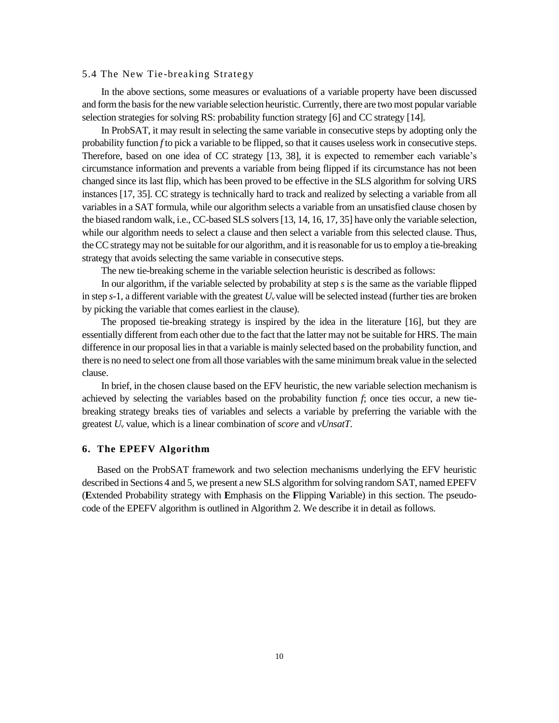### 5.4 The New Tie-breaking Strategy

In the above sections, some measures or evaluations of a variable property have been discussed and form the basis for the new variable selection heuristic. Currently, there are two most popular variable selection strategies for solving RS: probability function strategy [6] and CC strategy [14].

In ProbSAT, it may result in selecting the same variable in consecutive steps by adopting only the probability function *f* to pick a variable to be flipped, so that it causes useless work in consecutive steps. Therefore, based on one idea of CC strategy [13, 38], it is expected to remember each variable's circumstance information and prevents a variable from being flipped if its circumstance has not been changed since its last flip, which has been proved to be effective in the SLS algorithm for solving URS instances [17, 35]. CC strategy is technically hard to track and realized by selecting a variable from all variables in a SAT formula, while our algorithm selects a variable from an unsatisfied clause chosen by the biased random walk, i.e., CC-based SLS solvers [13, 14, 16, 17, 35] have only the variable selection, while our algorithm needs to select a clause and then select a variable from this selected clause. Thus, the CC strategy may not be suitable for our algorithm, and it is reasonable for us to employ a tie-breaking strategy that avoids selecting the same variable in consecutive steps.

The new tie-breaking scheme in the variable selection heuristic is described as follows:

In our algorithm, if the variable selected by probability at step *s* is the same as the variable flipped in step  $s-1$ , a different variable with the greatest  $U_v$  value will be selected instead (further ties are broken by picking the variable that comes earliest in the clause).

The proposed tie-breaking strategy is inspired by the idea in the literature [16], but they are essentially different from each other due to the fact that the latter may not be suitable for HRS. The main difference in our proposal lies in that a variable is mainly selected based on the probability function, and there is no need to select one from all those variables with the same minimum break value in the selected clause.

In brief, in the chosen clause based on the EFV heuristic, the new variable selection mechanism is achieved by selecting the variables based on the probability function *f*; once ties occur, a new tiebreaking strategy breaks ties of variables and selects a variable by preferring the variable with the greatest *U<sup>v</sup>* value, which is a linear combination of *score* and *vUnsatT*.

### **6. The EPEFV Algorithm**

Based on the ProbSAT framework and two selection mechanisms underlying the EFV heuristic described in Sections 4 and 5, we present a new SLS algorithm for solving random SAT, named EPEFV (**E**xtended Probability strategy with **E**mphasis on the **F**lipping **V**ariable) in this section. The pseudocode of the EPEFV algorithm is outlined in Algorithm 2. We describe it in detail as follows.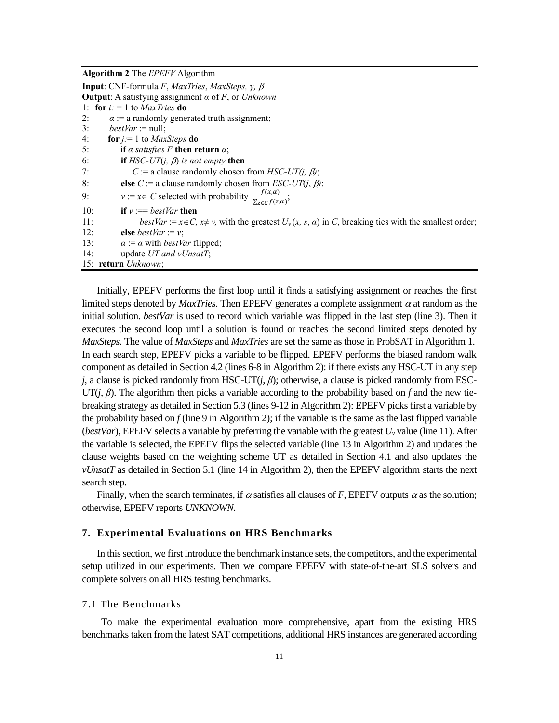**Algorithm 2** The *EPEFV* Algorithm

| <b>Input:</b> CNF-formula F, MaxTries, MaxSteps, $\gamma$ , $\beta$                                                      |
|--------------------------------------------------------------------------------------------------------------------------|
| <b>Output:</b> A satisfying assignment $\alpha$ of F, or Unknown                                                         |
| 1: for $i = 1$ to <i>MaxTries</i> do                                                                                     |
| $\alpha$ := a randomly generated truth assignment;<br>2:                                                                 |
| 3:<br><i>bestVar</i> := null;                                                                                            |
| 4:<br><b>for</b> $j := 1$ to <i>MaxSteps</i> <b>do</b>                                                                   |
| 5:<br>if a satisfies F then return $\alpha$ ;                                                                            |
| <b>if</b> HSC-UT( <i>j</i> , $\beta$ ) is not empty <b>then</b><br>6:                                                    |
| C := a clause randomly chosen from <i>HSC-UT(j, <math>\beta</math>)</i> ;<br>7:                                          |
| 8:<br>else C := a clause randomly chosen from <i>ESC-UT</i> ( <i>j</i> , $\beta$ );                                      |
| $v := x \in C$ selected with probability $\frac{f(x, \alpha)}{\sum_{z \in C} f(z, \alpha)}$ ;<br>9:                      |
| 10:<br>if $v := bestVar$ then                                                                                            |
| 11:<br>bestVar := $x \in C$ , $x \neq y$ , with the greatest $U_y(x, s, a)$ in C, breaking ties with the smallest order; |
| 12:<br>else <i>bestVar</i> := $v$ ;                                                                                      |
| 13:<br>$\alpha := \alpha$ with <i>bestVar</i> flipped;                                                                   |
| update UT and vUnsatT;<br>14:                                                                                            |
| 15: return Unknown;                                                                                                      |

Initially, EPEFV performs the first loop until it finds a satisfying assignment or reaches the first limited steps denoted by *MaxTries*. Then EPEFV generates a complete assignment  $\alpha$  at random as the initial solution. *bestVar* is used to record which variable was flipped in the last step (line 3). Then it executes the second loop until a solution is found or reaches the second limited steps denoted by *MaxSteps*. The value of *MaxSteps* and *MaxTries* are set the same as those in ProbSAT in Algorithm 1. In each search step, EPEFV picks a variable to be flipped. EPEFV performs the biased random walk component as detailed in Section 4.2 (lines 6-8 in Algorithm 2): if there exists any HSC-UT in any step *j*, a clause is picked randomly from HSC-UT $(j, \beta)$ ; otherwise, a clause is picked randomly from ESC-UT(*j*, *β*). The algorithm then picks a variable according to the probability based on *f* and the new tiebreaking strategy as detailed in Section 5.3 (lines 9-12 in Algorithm 2): EPEFV picks first a variable by the probability based on  $f$  (line 9 in Algorithm 2); if the variable is the same as the last flipped variable (*bestVar*), EPEFV selects a variable by preferring the variable with the greatest  $U_v$  value (line 11). After the variable is selected, the EPEFV flips the selected variable (line 13 in Algorithm 2) and updates the clause weights based on the weighting scheme UT as detailed in Section 4.1 and also updates the *vUnsatT* as detailed in Section 5.1 (line 14 in Algorithm 2), then the EPEFV algorithm starts the next search step.

Finally, when the search terminates, if  $\alpha$  satisfies all clauses of *F*, EPEFV outputs  $\alpha$  as the solution; otherwise, EPEFV reports *UNKNOWN*.

### **7. Experimental Evaluations on HRS Benchmarks**

In this section, we first introduce the benchmark instance sets, the competitors, and the experimental setup utilized in our experiments. Then we compare EPEFV with state-of-the-art SLS solvers and complete solvers on all HRS testing benchmarks.

### 7.1 The Benchmarks

To make the experimental evaluation more comprehensive, apart from the existing HRS benchmarks taken from the latest SAT competitions, additional HRS instances are generated according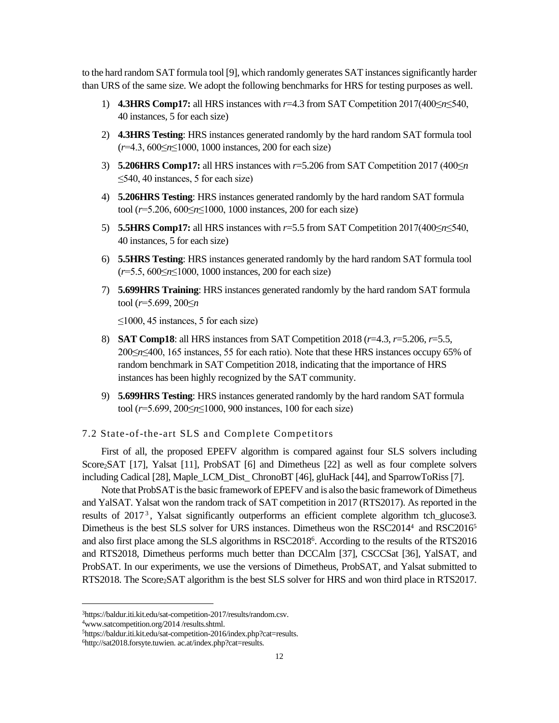to the hard random SAT formula tool [9], which randomly generates SAT instances significantly harder than URS of the same size. We adopt the following benchmarks for HRS for testing purposes as well.

- 1) **4.3HRS Comp17:** all HRS instances with *r*=4.3 from SAT Competition 2017(400≤*n*≤540, 40 instances, 5 for each size)
- 2) **4.3HRS Testing**: HRS instances generated randomly by the hard random SAT formula tool (*r*=4.3, 600≤*n*≤1000, 1000 instances, 200 for each size)
- 3) **5.206HRS Comp17:** all HRS instances with *r*=5.206 from SAT Competition 2017 (400≤*n*  $\leq$ 540, 40 instances, 5 for each size)
- 4) **5.206HRS Testing**: HRS instances generated randomly by the hard random SAT formula tool (*r*=5.206, 600≤*n*≤1000, 1000 instances, 200 for each size)
- 5) **5.5HRS Comp17:** all HRS instances with *r*=5.5 from SAT Competition 2017(400≤*n*≤540, 40 instances, 5 for each size)
- 6) **5.5HRS Testing**: HRS instances generated randomly by the hard random SAT formula tool (*r*=5.5, 600≤*n*≤1000, 1000 instances, 200 for each size)
- 7) **5.699HRS Training**: HRS instances generated randomly by the hard random SAT formula tool (*r*=5.699, 200≤*n*

 $\leq$ 1000, 45 instances, 5 for each size)

- 8) **SAT Comp18**: all HRS instances from SAT Competition 2018 (*r*=4.3, *r*=5.206, *r*=5.5, 200≤*n*≤400, 165 instances, 55 for each ratio). Note that these HRS instances occupy 65% of random benchmark in SAT Competition 2018, indicating that the importance of HRS instances has been highly recognized by the SAT community.
- 9) **5.699HRS Testing**: HRS instances generated randomly by the hard random SAT formula tool (*r*=5.699, 200≤*n*≤1000, 900 instances, 100 for each size)

7.2 State-of-the-art SLS and Complete Competitors

First of all, the proposed EPEFV algorithm is compared against four SLS solvers including Score<sub>2</sub>SAT [17], Yalsat [11], ProbSAT [6] and Dimetheus [22] as well as four complete solvers including Cadical [28], Maple\_LCM\_Dist\_ ChronoBT [46], gluHack [44], and SparrowToRiss [7].

Note that ProbSAT is the basic framework of EPEFV and is also the basic framework of Dimetheus and YalSAT. Yalsat won the random track of SAT competition in 2017 (RTS2017). As reported in the results of 2017<sup>3</sup>, Yalsat significantly outperforms an efficient complete algorithm tch\_glucose3. Dimetheus is the best SLS solver for URS instances. Dimetheus won the RSC2014<sup>4</sup> and RSC2016<sup>5</sup> and also first place among the SLS algorithms in RSC2018<sup>6</sup> . According to the results of the RTS2016 and RTS2018, Dimetheus performs much better than DCCAlm [37], CSCCSat [36], YalSAT, and ProbSAT. In our experiments, we use the versions of Dimetheus, ProbSAT, and Yalsat submitted to RTS2018. The Score<sub>2</sub>SAT algorithm is the best SLS solver for HRS and won third place in RTS2017.

<sup>3</sup>https://baldur.iti.kit.edu/sat-competition-2017/results/random.csv.

<sup>4</sup>[www.satcompetition.org/2014 /results.shtml.](http://www.satcompetition.org/2014%20/results.shtml)

<sup>5</sup>[https://baldur.iti.kit.edu/sat-competition-2016/index.php?cat=results.](https://baldur.iti.kit.edu/sat-competition-2016/index.php?cat=results)

<sup>6</sup>[http://sat2018.forsyte.tuwien.](http://sat2018.forsyte.tuwien/) ac.at/index.php?cat=results.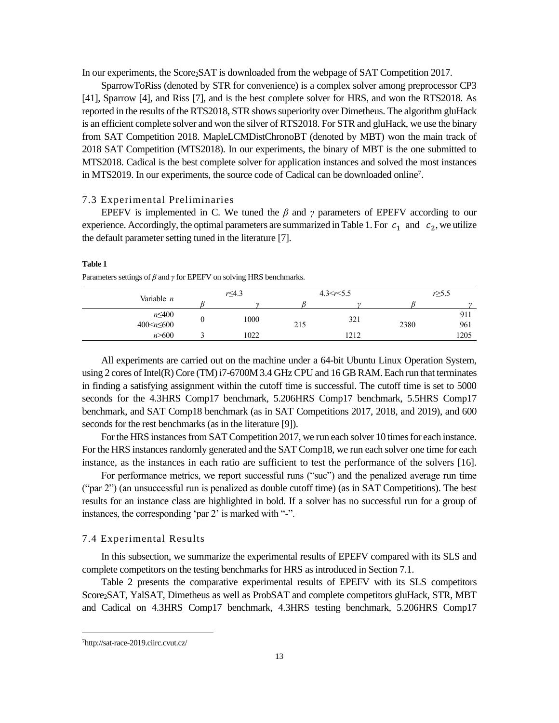In our experiments, the Score<sub>2</sub>SAT is downloaded from the webpage of SAT Competition 2017.

SparrowToRiss (denoted by STR for convenience) is a complex solver among preprocessor CP3 [41], Sparrow [4], and Riss [7], and is the best complete solver for HRS, and won the RTS2018. As reported in the results of the RTS2018, STR shows superiority over Dimetheus. The algorithm gluHack is an efficient complete solver and won the silver of RTS2018. For STR and gluHack, we use the binary from SAT Competition 2018. MapleLCMDistChronoBT (denoted by MBT) won the main track of 2018 SAT Competition (MTS2018). In our experiments, the binary of MBT is the one submitted to MTS2018. Cadical is the best complete solver for application instances and solved the most instances in MTS2019. In our experiments, the source code of Cadical can be downloaded online<sup>7</sup> .

### 7.3 Experimental Preliminaries

EPEFV is implemented in C. We tuned the  $\beta$  and  $\gamma$  parameters of EPEFV according to our experience. Accordingly, the optimal parameters are summarized in Table 1. For  $c_1$  and  $c_2$ , we utilize the default parameter setting tuned in the literature [7].

#### **Table 1**

Parameters settings of *β* and *γ* for EPEFV on solving HRS benchmarks.

| Variable n            | $r \leq 4.3$ |     | 4.3 < r < 5.5 | $r \geq 5.5$ |          |  |
|-----------------------|--------------|-----|---------------|--------------|----------|--|
|                       |              |     | $\sim$        |              | $\gamma$ |  |
| $n \leq 400$          | 1000         |     | 321           |              | 911      |  |
| 400 $\leq n \leq 600$ |              | 215 |               | 2380         | 961      |  |
| n > 600               | 1022         |     | 1212          |              | 1205     |  |
|                       |              |     |               |              |          |  |

All experiments are carried out on the machine under a 64-bit Ubuntu Linux Operation System, using 2 cores of Intel(R) Core (TM) i7-6700M 3.4 GHz CPU and 16 GB RAM. Each run that terminates in finding a satisfying assignment within the cutoff time is successful. The cutoff time is set to 5000 seconds for the 4.3HRS Comp17 benchmark, 5.206HRS Comp17 benchmark, 5.5HRS Comp17 benchmark, and SAT Comp18 benchmark (as in SAT Competitions 2017, 2018, and 2019), and 600 seconds for the rest benchmarks (as in the literature [9]).

For the HRS instances from SAT Competition 2017, we run each solver 10 times for each instance. For the HRS instances randomly generated and the SAT Comp18, we run each solver one time for each instance, as the instances in each ratio are sufficient to test the performance of the solvers [16].

For performance metrics, we report successful runs ("suc") and the penalized average run time ("par 2") (an unsuccessful run is penalized as double cutoff time) (as in SAT Competitions). The best results for an instance class are highlighted in bold. If a solver has no successful run for a group of instances, the corresponding 'par 2' is marked with "-".

#### 7.4 Experimental Results

In this subsection, we summarize the experimental results of EPEFV compared with its SLS and complete competitors on the testing benchmarks for HRS as introduced in Section 7.1.

Table 2 presents the comparative experimental results of EPEFV with its SLS competitors Score2SAT, YalSAT, Dimetheus as well as ProbSAT and complete competitors gluHack, STR, MBT and Cadical on 4.3HRS Comp17 benchmark, 4.3HRS testing benchmark, 5.206HRS Comp17

<sup>7</sup>http://sat-race-2019.ciirc.cvut.cz/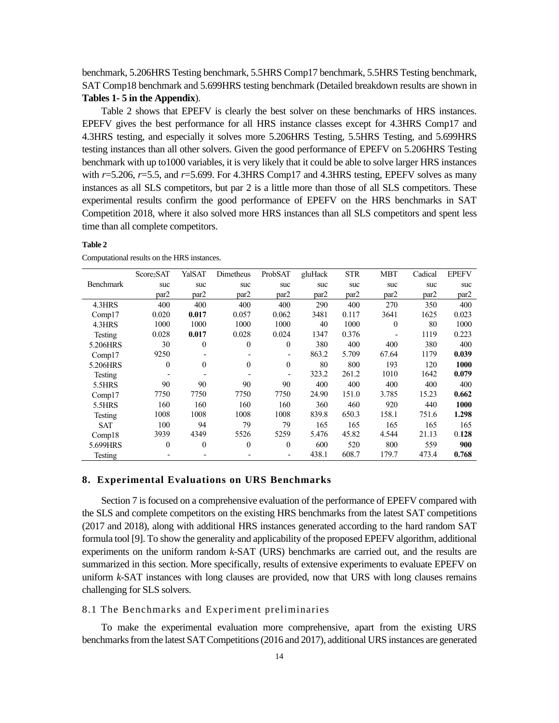benchmark, 5.206HRS Testing benchmark, 5.5HRS Comp17 benchmark, 5.5HRS Testing benchmark, SAT Comp18 benchmark and 5.699HRS testing benchmark (Detailed breakdown results are shown in **Tables 1- 5 in the Appendix**).

Table 2 shows that EPEFV is clearly the best solver on these benchmarks of HRS instances. EPEFV gives the best performance for all HRS instance classes except for 4.3HRS Comp17 and 4.3HRS testing, and especially it solves more 5.206HRS Testing, 5.5HRS Testing, and 5.699HRS testing instances than all other solvers. Given the good performance of EPEFV on 5.206HRS Testing benchmark with up to1000 variables, it is very likely that it could be able to solve larger HRS instances with  $r=5.206$ ,  $r=5.5$ , and  $r=5.699$ . For 4.3HRS Comp17 and 4.3HRS testing, EPEFV solves as many instances as all SLS competitors, but par 2 is a little more than those of all SLS competitors. These experimental results confirm the good performance of EPEFV on the HRS benchmarks in SAT Competition 2018, where it also solved more HRS instances than all SLS competitors and spent less time than all complete competitors.

#### **Table 2**

|                  | Score <sub>2</sub> SAT | YalSAT           | Dimetheus        | ProbSAT          | gluHack | <b>STR</b> | <b>MBT</b>   | Cadical          | <b>EPEFV</b> |
|------------------|------------------------|------------------|------------------|------------------|---------|------------|--------------|------------------|--------------|
| <b>Benchmark</b> | suc                    | suc              | suc              | suc              | suc     | suc        | suc          | suc              | suc          |
|                  | par2                   | par <sub>2</sub> | par <sub>2</sub> | par <sub>2</sub> | par2    | par2       | par2         | par <sub>2</sub> | par2         |
| 4.3HRS           | 400                    | 400              | 400              | 400              | 290     | 400        | 270          | 350              | 400          |
| Comp17           | 0.020                  | 0.017            | 0.057            | 0.062            | 3481    | 0.117      | 3641         | 1625             | 0.023        |
| 4.3HRS           | 1000                   | 1000             | 1000             | 1000             | 40      | 1000       | $\mathbf{0}$ | 80               | 1000         |
| Testing          | 0.028                  | 0.017            | 0.028            | 0.024            | 1347    | 0.376      |              | 1119             | 0.223        |
| 5.206HRS         | 30                     | $\theta$         | $\mathbf{0}$     | $\mathbf{0}$     | 380     | 400        | 400          | 380              | 400          |
| Comp17           | 9250                   |                  |                  |                  | 863.2   | 5.709      | 67.64        | 1179             | 0.039        |
| 5.206HRS         | $\theta$               | $\theta$         | $\theta$         | $\theta$         | 80      | 800        | 193          | 120              | 1000         |
| Testing          |                        |                  |                  |                  | 323.2   | 261.2      | 1010         | 1642             | 0.079        |
| 5.5HRS           | 90                     | 90               | 90               | 90               | 400     | 400        | 400          | 400              | 400          |
| Comp17           | 7750                   | 7750             | 7750             | 7750             | 24.90   | 151.0      | 3.785        | 15.23            | 0.662        |
| 5.5HRS           | 160                    | 160              | 160              | 160              | 360     | 460        | 920          | 440              | 1000         |
| Testing          | 1008                   | 1008             | 1008             | 1008             | 839.8   | 650.3      | 158.1        | 751.6            | 1.298        |
| <b>SAT</b>       | 100                    | 94               | 79               | 79               | 165     | 165        | 165          | 165              | 165          |
| Comp18           | 3939                   | 4349             | 5526             | 5259             | 5.476   | 45.82      | 4.544        | 21.13            | 0.128        |
| 5.699HRS         | $\mathbf{0}$           | $\theta$         | $\theta$         | $\theta$         | 600     | 520        | 800          | 559              | 900          |
| Testing          |                        |                  |                  |                  | 438.1   | 608.7      | 179.7        | 473.4            | 0.768        |

Computational results on the HRS instances.

### **8. Experimental Evaluations on URS Benchmarks**

Section 7 is focused on a comprehensive evaluation of the performance of EPEFV compared with the SLS and complete competitors on the existing HRS benchmarks from the latest SAT competitions (2017 and 2018), along with additional HRS instances generated according to the hard random SAT formula tool [9]. To show the generality and applicability of the proposed EPEFV algorithm, additional experiments on the uniform random *k*-SAT (URS) benchmarks are carried out, and the results are summarized in this section. More specifically, results of extensive experiments to evaluate EPEFV on uniform *k*-SAT instances with long clauses are provided, now that URS with long clauses remains challenging for SLS solvers.

### 8.1 The Benchmarks and Experiment preliminaries

To make the experimental evaluation more comprehensive, apart from the existing URS benchmarks from the latest SAT Competitions (2016 and 2017), additional URS instances are generated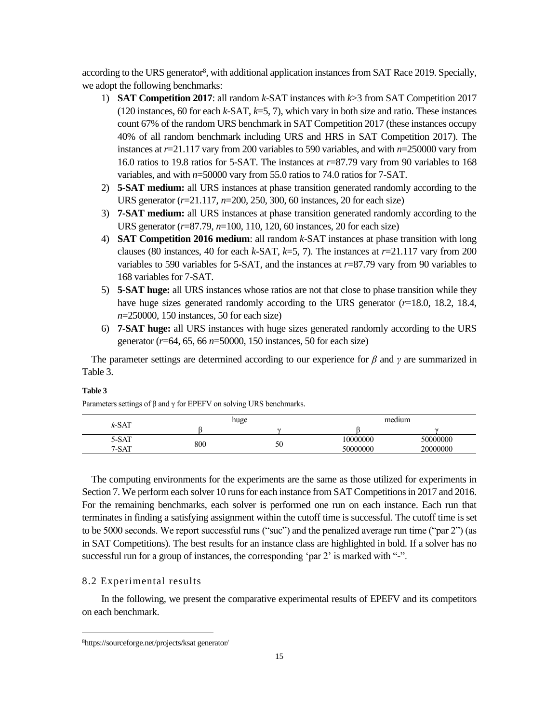according to the URS generator<sup>8</sup>, with additional application instances from SAT Race 2019. Specially, we adopt the following benchmarks:

- 1) **SAT Competition 2017**: all random *k*-SAT instances with *k*>3 from SAT Competition 2017 (120 instances, 60 for each *k*-SAT, *k*=5, 7), which vary in both size and ratio. These instances count 67% of the random URS benchmark in SAT Competition 2017 (these instances occupy 40% of all random benchmark including URS and HRS in SAT Competition 2017). The instances at *r*=21.117 vary from 200 variables to 590 variables, and with *n*=250000 vary from 16.0 ratios to 19.8 ratios for 5-SAT. The instances at *r*=87.79 vary from 90 variables to 168 variables, and with *n*=50000 vary from 55.0 ratios to 74.0 ratios for 7-SAT.
- 2) **5-SAT medium:** all URS instances at phase transition generated randomly according to the URS generator (*r*=21.117, *n*=200, 250, 300, 60 instances, 20 for each size)
- 3) **7-SAT medium:** all URS instances at phase transition generated randomly according to the URS generator (*r*=87.79, *n*=100, 110, 120, 60 instances, 20 for each size)
- 4) **SAT Competition 2016 medium**: all random *k*-SAT instances at phase transition with long clauses (80 instances, 40 for each *k*-SAT, *k*=5, 7). The instances at  $r=21.117$  vary from 200 variables to 590 variables for 5-SAT, and the instances at *r*=87.79 vary from 90 variables to 168 variables for 7-SAT.
- 5) **5-SAT huge:** all URS instances whose ratios are not that close to phase transition while they have huge sizes generated randomly according to the URS generator (*r*=18.0, 18.2, 18.4, *n*=250000, 150 instances, 50 for each size)
- 6) **7-SAT huge:** all URS instances with huge sizes generated randomly according to the URS generator (*r*=64, 65, 66 *n*=50000, 150 instances, 50 for each size)

The parameter settings are determined according to our experience for *β* and *γ* are summarized in Table 3.

| $k$ -SAT |     | huge   | medium   |          |  |
|----------|-----|--------|----------|----------|--|
|          |     | $\sim$ |          |          |  |
| 5-SAT    | 800 |        | 10000000 | 50000000 |  |
| 7-SAT    |     | 50     | 50000000 | 20000000 |  |

# **Table 3**

The computing environments for the experiments are the same as those utilized for experiments in Section 7. We perform each solver 10 runs for each instance from SAT Competitions in 2017 and 2016. For the remaining benchmarks, each solver is performed one run on each instance. Each run that terminates in finding a satisfying assignment within the cutoff time is successful. The cutoff time is set to be 5000 seconds. We report successful runs ("suc") and the penalized average run time ("par 2") (as in SAT Competitions). The best results for an instance class are highlighted in bold. If a solver has no successful run for a group of instances, the corresponding 'par 2' is marked with "-".

# 8.2 Experimental results

In the following, we present the comparative experimental results of EPEFV and its competitors on each benchmark.

Parameters settings of  $\beta$  and  $\gamma$  for EPEFV on solving URS benchmarks.

<sup>8</sup>https://sourceforge.net/projects/ksat generator/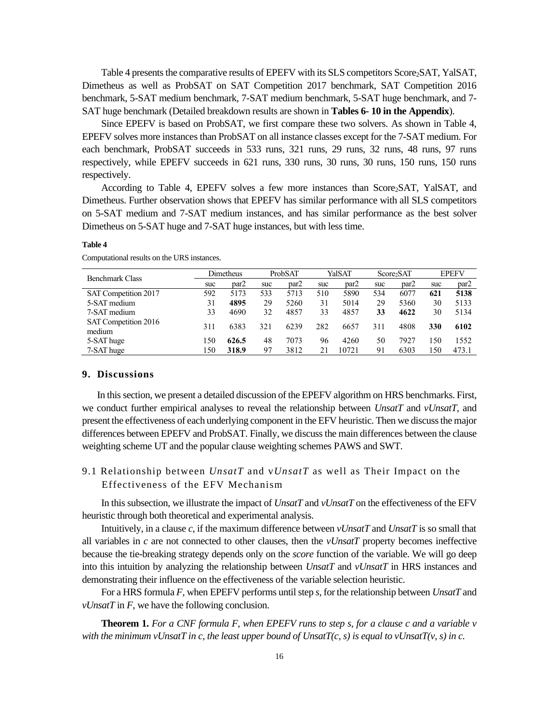Table 4 presents the comparative results of EPEFV with its SLS competitors Score2SAT, YalSAT, Dimetheus as well as ProbSAT on SAT Competition 2017 benchmark, SAT Competition 2016 benchmark, 5-SAT medium benchmark, 7-SAT medium benchmark, 5-SAT huge benchmark, and 7- SAT huge benchmark (Detailed breakdown results are shown in **Tables 6- 10 in the Appendix**).

Since EPEFV is based on ProbSAT, we first compare these two solvers. As shown in Table 4, EPEFV solves more instances than ProbSAT on all instance classes except for the 7-SAT medium. For each benchmark, ProbSAT succeeds in 533 runs, 321 runs, 29 runs, 32 runs, 48 runs, 97 runs respectively, while EPEFV succeeds in 621 runs, 330 runs, 30 runs, 30 runs, 150 runs, 150 runs respectively.

According to Table 4, EPEFV solves a few more instances than  $Score_2SAT$ , YalSAT, and Dimetheus. Further observation shows that EPEFV has similar performance with all SLS competitors on 5-SAT medium and 7-SAT medium instances, and has similar performance as the best solver Dimetheus on 5-SAT huge and 7-SAT huge instances, but with less time.

| Benchmark Class                |     | <b>Dimetheus</b> |     | ProbSAT |     | YalSAT           |     | Score <sub>2</sub> SAT |     | <b>EPEFV</b> |
|--------------------------------|-----|------------------|-----|---------|-----|------------------|-----|------------------------|-----|--------------|
|                                | suc | par2             | suc | par2    | suc | par <sub>2</sub> | suc | par <sub>2</sub>       | suc | par2         |
| SAT Competition 2017           | 592 | 5173             | 533 | 5713    | 510 | 5890             | 534 | 6077                   | 621 | 5138         |
| 5-SAT medium                   | 31  | 4895             | 29  | 5260    | 31  | 5014             | 29  | 5360                   | 30  | 5133         |
| 7-SAT medium                   | 33  | 4690             | 32  | 4857    | 33  | 4857             | 33  | 4622                   | 30  | 5134         |
| SAT Competition 2016<br>medium | 311 | 6383             | 321 | 6239    | 282 | 6657             | 311 | 4808                   | 330 | 6102         |
| 5-SAT huge                     | 150 | 626.5            | 48  | 7073    | 96  | 4260             | 50  | 7927                   | 150 | 1552         |
| 7-SAT huge                     | 150 | 318.9            | 97  | 3812    | 21  | 10721            | 91  | 6303                   | 150 | 473.1        |
|                                |     |                  |     |         |     |                  |     |                        |     |              |

#### **Table 4**

Computational results on the URS instances.

#### **9. Discussions**

In this section, we present a detailed discussion of the EPEFV algorithm on HRS benchmarks. First, we conduct further empirical analyses to reveal the relationship between *UnsatT* and *vUnsatT,* and present the effectiveness of each underlying component in the EFV heuristic. Then we discuss the major differences between EPEFV and ProbSAT. Finally, we discuss the main differences between the clause weighting scheme UT and the popular clause weighting schemes PAWS and SWT.

9.1 Relationship between *UnsatT* and v*UnsatT* as well as Their Impact on the Effectiveness of the EFV Mechanism

In this subsection, we illustrate the impact of *UnsatT* and *vUnsatT* on the effectiveness of the EFV heuristic through both theoretical and experimental analysis.

Intuitively, in a clause *c*, if the maximum difference between *vUnsatT* and *UnsatT* is so small that all variables in *c* are not connected to other clauses, then the *vUnsatT* property becomes ineffective because the tie-breaking strategy depends only on the *score* function of the variable. We will go deep into this intuition by analyzing the relationship between *UnsatT* and *vUnsatT* in HRS instances and demonstrating their influence on the effectiveness of the variable selection heuristic.

For a HRS formula *F*, when EPEFV performs until step *s*, for the relationship between *UnsatT* and *vUnsatT* in *F*, we have the following conclusion.

**Theorem 1.** *For a CNF formula F, when EPEFV runs to step s, for a clause c and a variable v*  with the minimum vUnsatT in c, the least upper bound of UnsatT(c, s) is equal to vUnsatT(v, s) in c.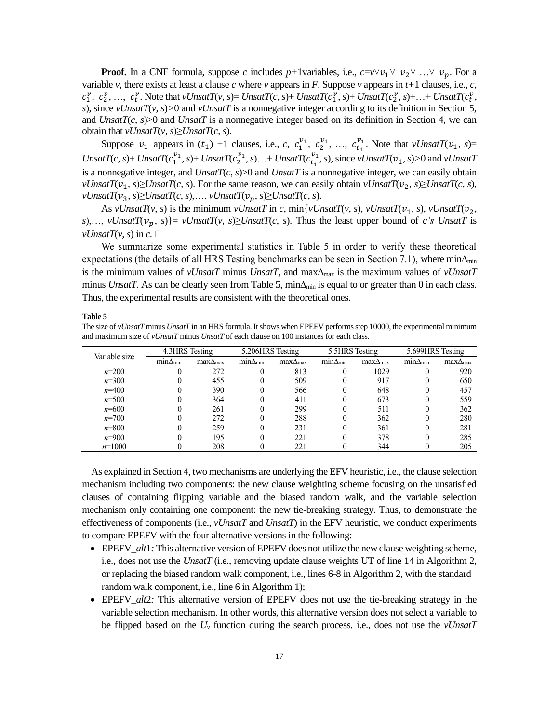**Proof.** In a CNF formula, suppose *c* includes *p*+1variables, i.e.,  $c = v \lor v_1 \lor v_2 \lor ... \lor v_p$ . For a variable *v*, there exists at least a clause *c* where *v* appears in *F*. Suppose *v* appears in  $t+1$  clauses, i.e., *c*,  $c_1^{\nu}, c_2^{\nu}, \ldots, c_t^{\nu}$ . Note that  $vUnsatT(v, s) = UnsatT(c, s) + UnsatT(c_1^{\nu}, s) + UnsatT(c_2^{\nu}, s) + \ldots + UnsatT(c_t^{\nu}, s)$ *s*), since *vUnsatT*(*v*, *s*)*>*0 and *vUnsatT* is a nonnegative integer according to its definition in Section 5, and *UnsatT*(*c*, *s*)>0 and *UnsatT* is a nonnegative integer based on its definition in Section 4, we can obtain that  $vUnsatT(v, s) \geq UnsatT(c, s)$ .

Suppose  $v_1$  appears in  $(t_1)$  +1 clauses, i.e., *c*,  $c_1^{v_1}$ ,  $c_2^{v_1}$ , ...,  $c_{t_1}^{v_1}$ . Note that *vUnsatT*( $v_1$ , *s*)= *UnsatT*(*c*, *s*)+ *UnsatT*( $c_1^{\nu_1}$ , *s*)+ *UnsatT*( $c_2^{\nu_1}$ , *s*)...+ *UnsatT*( $c_{t_1}^{\nu_1}$ , *s*), since *vUnsatT*( $\nu_1$ , *s*)>0 and *vUnsatT* is a nonnegative integer, and *UnsatT*(*c*, *s*)>0 and *UnsatT* is a nonnegative integer, we can easily obtain *vUnsatT*( $v_1$ , *s*)≥*UnsatT*(*c*, *s*). For the same reason, we can easily obtain *vUnsatT*( $v_2$ , *s*)≥*UnsatT*(*c*, *s*),  $vUnsatT(v_3, s) \geq UnsatT(c, s), \ldots, vUnsatT(v_p, s) \geq UnsatT(c, s).$ 

As *vUnsatT*(*v*, *s*) is the minimum *vUnsatT* in *c*, min{*vUnsatT*(*v*, *s*), *vUnsatT*( $v_1$ , *s*), *vUnsatT*( $v_2$ , *s*),..., *vUnsatT*( $v_p$ , *s*)}= *vUnsatT*(*v*, *s*) $\ge$ *UnsatT*(*c*, *s*). Thus the least upper bound of *c's UnsatT* is  $vUnsatT(v, s)$  in  $c.$ 

We summarize some experimental statistics in Table 5 in order to verify these theoretical expectations (the details of all HRS Testing benchmarks can be seen in Section 7.1), where min $\Delta_{\text{min}}$ is the minimum values of *vUnsatT* minus *UnsatT*, and max∆max is the maximum values of *vUnsatT* minus *UnsatT*. As can be clearly seen from Table 5, min $\Delta_{min}$  is equal to or greater than 0 in each class. Thus, the experimental results are consistent with the theoretical ones.

#### **Table 5**

The size of *vUnsatT* minus *UnsatT* in an HRS formula. It shows when EPEFV performs step 10000, the experimental minimum and maximum size of *vUnsatT* minus *UnsatT* of each clause on 100 instances for each class.

| Variable size |                   | 4.3HRS Testing    |                   | 5.206HRS Testing  | 5.5HRS Testing   |                   | 5.699HRS Testing  |                   |  |
|---------------|-------------------|-------------------|-------------------|-------------------|------------------|-------------------|-------------------|-------------------|--|
|               | $min\Delta_{min}$ | $max\Delta_{max}$ | $min\Delta_{min}$ | $max\Delta_{max}$ | $mn\Delta_{min}$ | $max\Delta_{max}$ | $min\Delta_{min}$ | $max\Delta_{max}$ |  |
| $n=200$       |                   | 272               |                   | 813               |                  | 1029              |                   | 920               |  |
| $n=300$       |                   | 455               |                   | 509               |                  | 917               |                   | 650               |  |
| $n=400$       |                   | 390               |                   | 566               |                  | 648               |                   | 457               |  |
| $n = 500$     |                   | 364               |                   | 411               |                  | 673               |                   | 559               |  |
| $n = 600$     |                   | 261               |                   | 299               |                  | 511               |                   | 362               |  |
| $n=700$       |                   | 272               |                   | 288               |                  | 362               |                   | 280               |  |
| $n = 800$     |                   | 259               |                   | 231               |                  | 361               |                   | 281               |  |
| $n = 900$     |                   | 195               |                   | 221               |                  | 378               |                   | 285               |  |
| $n=1000$      |                   | 208               |                   | 221               |                  | 344               |                   | 205               |  |

As explained in Section 4, two mechanisms are underlying the EFV heuristic, i.e., the clause selection mechanism including two components: the new clause weighting scheme focusing on the unsatisfied clauses of containing flipping variable and the biased random walk, and the variable selection mechanism only containing one component: the new tie-breaking strategy. Thus, to demonstrate the effectiveness of components (i.e., *vUnsatT* and *UnsatT*) in the EFV heuristic, we conduct experiments to compare EPEFV with the four alternative versions in the following:

- EPEFV\_alt1: This alternative version of EPEFV does not utilize the new clause weighting scheme, i.e., does not use the *UnsatT* (i.e., removing update clause weights UT of line 14 in Algorithm 2, or replacing the biased random walk component, i.e., lines 6-8 in Algorithm 2, with the standard random walk component, i.e., line 6 in Algorithm 1);
- EPEFV\_alt2: This alternative version of EPEFV does not use the tie-breaking strategy in the variable selection mechanism. In other words, this alternative version does not select a variable to be flipped based on the *U<sup>v</sup>* function during the search process, i.e., does not use the *vUnsatT*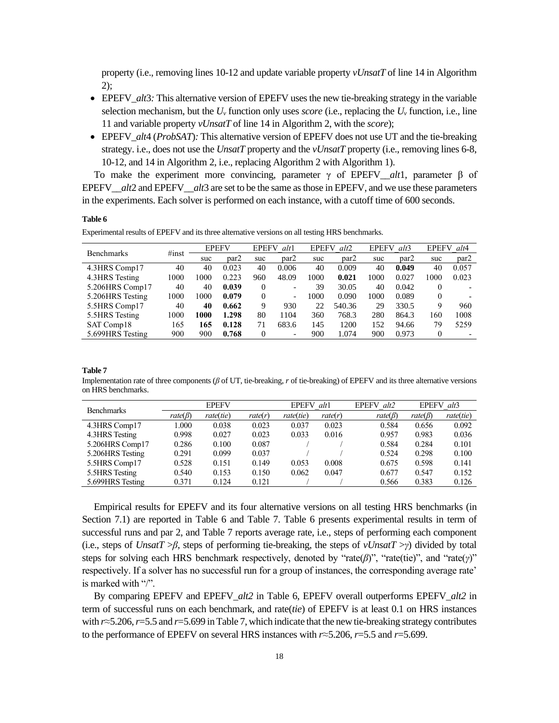property (i.e., removing lines 10-12 and update variable property *vUnsatT* of line 14 in Algorithm 2);

- EPEFV *alt*<sup>3</sup>: This alternative version of EPEFV uses the new tie-breaking strategy in the variable selection mechanism, but the  $U_\nu$  function only uses *score* (i.e., replacing the  $U_\nu$  function, i.e., line 11 and variable property *vUnsatT* of line 14 in Algorithm 2, with the *score*);
- EPEFV *alt*4 (*ProbSAT*)*:* This alternative version of EPEFV does not use UT and the tie-breaking strategy. i.e., does not use the *UnsatT* property and the *vUnsatT* property (i.e., removing lines 6-8, 10-12, and 14 in Algorithm 2, i.e., replacing Algorithm 2 with Algorithm 1).

To make the experiment more convincing, parameter  $\gamma$  of EPEFV\_*alt*1, parameter  $\beta$  of EPEFV *alt*2 and EPEFV *alt*3 are set to be the same as those in EPEFV, and we use these parameters in the experiments. Each solver is performed on each instance, with a cutoff time of 600 seconds.

#### **Table 6**

Experimental results of EPEFV and its three alternative versions on all testing HRS benchmarks.

| <b>Benchmarks</b> | #inst | <b>EPEFV</b> |       |          | <b>EPEFV</b><br>alt1     |      | alt2<br><b>EPEFV</b> |      | <b>EPEFV</b><br>alt3 |          | <b>EPEFV</b><br>alt4 |  |
|-------------------|-------|--------------|-------|----------|--------------------------|------|----------------------|------|----------------------|----------|----------------------|--|
|                   |       | suc          | par2  | suc      | par2                     | suc  | par2                 | suc  | par <sub>2</sub>     | suc      | par2                 |  |
| 4.3HRS Comp17     | 40    | 40           | 0.023 | 40       | 0.006                    | 40   | 0.009                | 40   | 0.049                | 40       | 0.057                |  |
| 4.3HRS Testing    | 1000  | 1000         | 0.223 | 960      | 48.09                    | 1000 | 0.021                | 1000 | 0.027                | 1000     | 0.023                |  |
| 5.206HRS Comp17   | 40    | 40           | 0.039 | $\theta$ |                          | 39   | 30.05                | 40   | 0.042                | $\theta$ |                      |  |
| 5.206HRS Testing  | 1000  | 1000         | 0.079 | $\theta$ | $\overline{\phantom{0}}$ | 1000 | 0.090                | 1000 | 0.089                | 0        |                      |  |
| 5.5HRS Comp17     | 40    | 40           | 0.662 | 9        | 930                      | 22.  | 540.36               | 29   | 330.5                | 9        | 960                  |  |
| 5.5 HRS Testing   | 1000  | 1000         | 1.298 | 80       | 1104                     | 360  | 768.3                | 280  | 864.3                | 160      | 1008                 |  |
| SAT Comp18        | 165   | 165          | 0.128 | 71       | 683.6                    | 145  | 1200                 | 152  | 94.66                | 79       | 5259                 |  |
| 5.699HRS Testing  | 900   | 900          | 0.768 | $\theta$ | $\overline{\phantom{0}}$ | 900  | 1.074                | 900  | 0.973                | 0        |                      |  |

#### **Table 7**

Implementation rate of three components (*β* of UT, tie-breaking, *r* of tie-breaking) of EPEFV and its three alternative versions on HRS benchmarks.

| <b>Benchmarks</b> | <b>EPEFV</b>  |           |         | <b>EPEFV</b> | alt1    | alt2<br><b>EPEFV</b> | <b>EPEFV</b>  | alt3      |
|-------------------|---------------|-----------|---------|--------------|---------|----------------------|---------------|-----------|
|                   | $rate(\beta)$ | rate(tie) | rate(r) | rate(tie)    | rate(r) | $rate(\beta)$        | $rate(\beta)$ | rate(tie) |
| 4.3HRS Comp17     | 1.000         | 0.038     | 0.023   | 0.037        | 0.023   | 0.584                | 0.656         | 0.092     |
| 4.3HRS Testing    | 0.998         | 0.027     | 0.023   | 0.033        | 0.016   | 0.957                | 0.983         | 0.036     |
| 5.206HRS Comp17   | 0.286         | 0.100     | 0.087   |              |         | 0.584                | 0.284         | 0.101     |
| 5.206HRS Testing  | 0.291         | 0.099     | 0.037   |              |         | 0.524                | 0.298         | 0.100     |
| 5.5HRS Comp17     | 0.528         | 0.151     | 0.149   | 0.053        | 0.008   | 0.675                | 0.598         | 0.141     |
| 5.5HRS Testing    | 0.540         | 0.153     | 0.150   | 0.062        | 0.047   | 0.677                | 0.547         | 0.152     |
| 5.699HRS Testing  | 0.371         | 0.124     | 0.121   |              |         | 0.566                | 0.383         | 0.126     |

Empirical results for EPEFV and its four alternative versions on all testing HRS benchmarks (in Section 7.1) are reported in Table 6 and Table 7. Table 6 presents experimental results in term of successful runs and par 2, and Table 7 reports average rate, i.e., steps of performing each component (i.e., steps of *UnsatT* >*β*, steps of performing tie-breaking, the steps of *vUnsatT* >*γ*) divided by total steps for solving each HRS benchmark respectively, denoted by "rate(*β*)", "rate(tie)", and "rate(*γ*)" respectively. If a solver has no successful run for a group of instances, the corresponding average rate' is marked with "/".

By comparing EPEFV and EPEFV\_*alt2* in Table 6, EPEFV overall outperforms EPEFV\_*alt2* in term of successful runs on each benchmark, and rate(*tie*) of EPEFV is at least 0.1 on HRS instances with *r*≈5.206,*r*=5.5 and *r*=5.699 in Table 7, which indicate that the new tie-breaking strategy contributes to the performance of EPEFV on several HRS instances with *r*≈5.206, *r*=5.5 and *r*=5.699.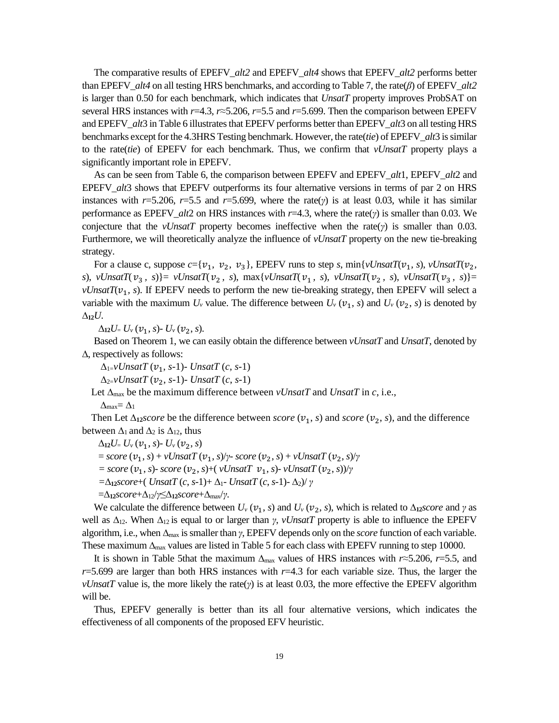The comparative results of EPEFV\_*alt2* and EPEFV\_*alt4* shows that EPEFV\_*alt2* performs better than EPEFV\_*alt4* on all testing HRS benchmarks, and according to Table 7, the rate(*β*) of EPEFV\_*alt2* is larger than 0.50 for each benchmark, which indicates that *UnsatT* property improves ProbSAT on several HRS instances with *r*=4.3, *r*≈5.206, *r*=5.5 and *r*=5.699. Then the comparison between EPEFV and EPEFV*\_alt*3 in Table 6 illustrates that EPEFV performs better than EPEFV*\_alt*3 on all testing HRS benchmarks except for the 4.3HRS Testing benchmark. However, the rate(*tie*) of EPEFV*\_alt*3 is similar to the rate(*tie*) of EPEFV for each benchmark. Thus, we confirm that *vUnsatT* property plays a significantly important role in EPEFV.

As can be seen from Table 6, the comparison between EPEFV and EPEFV*\_alt*1, EPEFV*\_alt*2 and EPEFV *alt*<sup>3</sup> shows that EPEFV outperforms its four alternative versions in terms of par 2 on HRS instances with  $r=5.206$ ,  $r=5.5$  and  $r=5.699$ , where the rate(*γ*) is at least 0.03, while it has similar performance as EPEFV*\_alt*2 on HRS instances with *r*=4.3, where the rate(*γ*) is smaller than 0.03. We conjecture that the *vUnsatT* property becomes ineffective when the rate(*γ*) is smaller than 0.03. Furthermore, we will theoretically analyze the influence of *vUnsatT* property on the new tie-breaking strategy.

For a clause c, suppose  $c = \{v_1, v_2, v_3\}$ , EPEFV runs to step *s*, min $\{vUnsatT(v_1, s), vUnsatT(v_2, s)\}$ *s*), *vUnsatT*( $v_3$ , *s*)}= *vUnsatT*( $v_2$ , *s*), max{*vUnsatT*( $v_1$ , *s*), *vUnsatT*( $v_2$ , *s*), *vUnsatT*( $v_3$ , *s*)}=  $vUnsatT(v_1, s)$ . If EPEFV needs to perform the new tie-breaking strategy, then EPEFV will select a variable with the maximum  $U_\nu$  value. The difference between  $U_\nu$  ( $v_1$ , *s*) and  $U_\nu$  ( $v_2$ , *s*) is denoted by **∆12***U*.

 $\Delta_{12}U = U_{\nu} (v_1, s) - U_{\nu} (v_2, s).$ 

Based on Theorem 1, we can easily obtain the difference between *vUnsatT* and *UnsatT*, denoted by ∆, respectively as follows:

 $\Delta_1 = vUnsatT(v_1, s-1)$ - *UnsatT* (*c*, *s*-1)

 $\Delta_{2=V}$ *UnsatT* ( $v_2$ , *s*-1)- *UnsatT* (*c*, *s*-1)

Let  $\Delta_{\text{max}}$  be the maximum difference between *vUnsatT* and *UnsatT* in *c*, i.e.,

 $\Delta_{\text{max}}=\Delta_1$ 

Then Let  $\Delta_{12}$ *score* be the difference between *score* ( $v_1$ , *s*) and *score* ( $v_2$ , *s*), and the difference between  $\Delta_1$  and  $\Delta_2$  is  $\Delta_{12}$ , thus

 $\Delta_{12}U = U_{\nu} (v_1, s) - U_{\nu} (v_2, s)$ 

 $=$  *score*  $(v_1, s) + vUnsatT(v_1, s)/\gamma$ - *score*  $(v_2, s) + vUnsatT(v_2, s)/\gamma$ 

 $=$  *score*  $(v_1, s)$ - *score*  $(v_2, s)$ + $(vUnsatT \, v_1, s)$ -  $vUnsatT \, (v_2, s)$ / $\gamma$ 

*=***∆12***score*+( *UnsatT* (*c*, *s-*1)+ ∆1- *UnsatT* (*c*, *s-*1)- ∆2)/ *γ*

=**∆12***score*+∆12/*γ*≤**∆12***score*+∆max/*γ*.

We calculate the difference between  $U_v$  ( $v_1$ , *s*) and  $U_v$  ( $v_2$ , *s*), which is related to  $\Delta_{12}$ *score* and *γ* as well as ∆12. When ∆12 is equal to or larger than *γ*, *vUnsatT* property is able to influence the EPEFV algorithm, i.e., when ∆max is smaller than *γ*, EPEFV depends only on the *score* function of each variable. These maximum  $\Delta_{\text{max}}$  values are listed in Table 5 for each class with EPEFV running to step 10000.

It is shown in Table 5that the maximum ∆max values of HRS instances with *r*≈5.206, *r*=5.5, and *r*=5.699 are larger than both HRS instances with *r*=4.3 for each variable size. Thus, the larger the *vUnsatT* value is, the more likely the rate( $\gamma$ ) is at least 0.03, the more effective the EPEFV algorithm will be.

Thus, EPEFV generally is better than its all four alternative versions, which indicates the effectiveness of all components of the proposed EFV heuristic.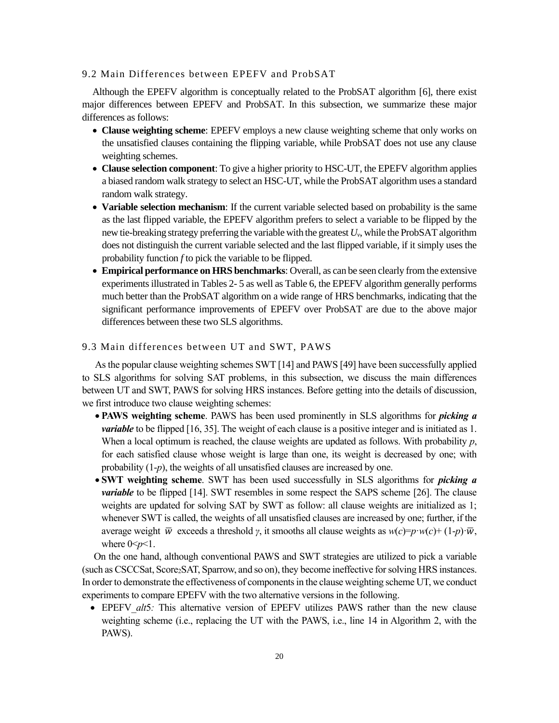### 9.2 Main Differences between EPEFV and ProbSAT

Although the EPEFV algorithm is conceptually related to the ProbSAT algorithm [6], there exist major differences between EPEFV and ProbSAT. In this subsection, we summarize these major differences as follows:

- **Clause weighting scheme**: EPEFV employs a new clause weighting scheme that only works on the unsatisfied clauses containing the flipping variable, while ProbSAT does not use any clause weighting schemes.
- **Clause selection component**: To give a higher priority to HSC-UT, the EPEFV algorithm applies a biased random walk strategy to select an HSC-UT, while the ProbSAT algorithm uses a standard random walk strategy.
- **Variable selection mechanism**: If the current variable selected based on probability is the same as the last flipped variable, the EPEFV algorithm prefers to select a variable to be flipped by the new tie-breaking strategy preferring the variable with the greatest *Uv*, while the ProbSATalgorithm does not distinguish the current variable selected and the last flipped variable, if it simply uses the probability function *f* to pick the variable to be flipped.
- **Empirical performance on HRS benchmarks**: Overall, as can be seen clearly from the extensive experiments illustrated in Tables 2- 5 as well as Table 6, the EPEFV algorithm generally performs much better than the ProbSAT algorithm on a wide range of HRS benchmarks, indicating that the significant performance improvements of EPEFV over ProbSAT are due to the above major differences between these two SLS algorithms.

### 9.3 Main differences between UT and SWT, PAWS

As the popular clause weighting schemes SWT [14] and PAWS [49] have been successfully applied to SLS algorithms for solving SAT problems, in this subsection, we discuss the main differences between UT and SWT, PAWS for solving HRS instances. Before getting into the details of discussion, we first introduce two clause weighting schemes:

- **PAWS weighting scheme**. PAWS has been used prominently in SLS algorithms for *picking a variable* to be flipped [16, 35]. The weight of each clause is a positive integer and is initiated as 1. When a local optimum is reached, the clause weights are updated as follows. With probability *p*, for each satisfied clause whose weight is large than one, its weight is decreased by one; with probability (1-*p*), the weights of all unsatisfied clauses are increased by one.
- **SWT weighting scheme**. SWT has been used successfully in SLS algorithms for *picking a variable* to be flipped [14]. SWT resembles in some respect the SAPS scheme [26]. The clause weights are updated for solving SAT by SWT as follow: all clause weights are initialized as 1; whenever SWT is called, the weights of all unsatisfied clauses are increased by one; further, if the average weight  $\overline{w}$  exceeds a threshold *γ*, it smooths all clause weights as  $w(c) = p \cdot w(c) + (1-p) \cdot \overline{w}$ , where  $0 \le p \le 1$ .

On the one hand, although conventional PAWS and SWT strategies are utilized to pick a variable (such as CSCCSat, Score2SAT, Sparrow, and so on), they become ineffective for solving HRS instances. In order to demonstrate the effectiveness of components in the clause weighting scheme UT, we conduct experiments to compare EPEFV with the two alternative versions in the following.

• EPEFV *alt*5*:* This alternative version of EPEFV utilizes PAWS rather than the new clause weighting scheme (i.e., replacing the UT with the PAWS, i.e., line 14 in Algorithm 2, with the PAWS).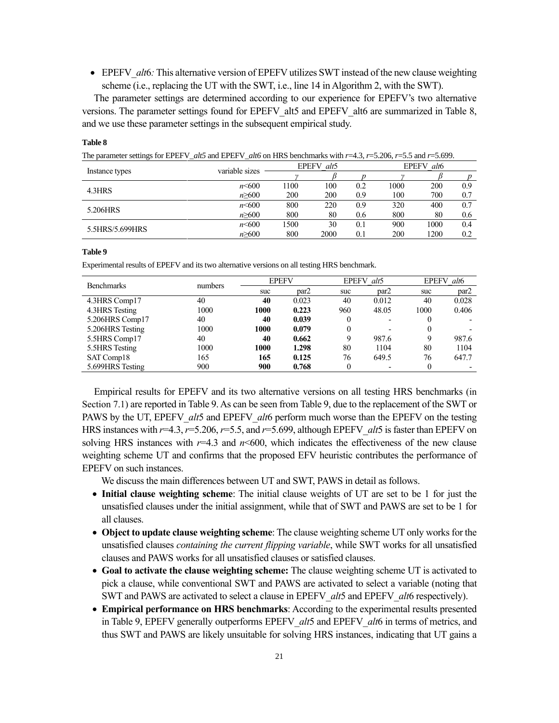• EPEFV *alt*6*:* This alternative version of EPEFV utilizes SWT instead of the new clause weighting scheme (i.e., replacing the UT with the SWT, i.e., line 14 in Algorithm 2, with the SWT).

The parameter settings are determined according to our experience for EPEFV's two alternative versions. The parameter settings found for EPEFV\_alt5 and EPEFV\_alt6 are summarized in Table 8, and we use these parameter settings in the subsequent empirical study.

| The parameter settings for EPEFV alt5 and EPEFV alt6 on HRS benchmarks with $r=4.3$ , $r=5.206$ , $r=5.5$ and $r=5.699$ . |                                                                                |      |            |     |            |      |     |  |  |
|---------------------------------------------------------------------------------------------------------------------------|--------------------------------------------------------------------------------|------|------------|-----|------------|------|-----|--|--|
|                                                                                                                           |                                                                                |      | EPEFV alt5 |     | EPEFV alt6 |      |     |  |  |
| Instance types                                                                                                            | variable sizes<br>$n \leq 600$<br>$n \geq 600$<br>$n \leq 600$<br>$n \geq 600$ |      |            |     |            |      |     |  |  |
| 4.3HRS                                                                                                                    |                                                                                | 1100 | 100        | 0.2 | 1000       | 200  | 0.9 |  |  |
|                                                                                                                           |                                                                                | 200  | 200        | 0.9 | 100        | 700  | 0.7 |  |  |
| 5.206HRS                                                                                                                  |                                                                                | 800  | 220        | 0.9 | 320        | 400  | 0.7 |  |  |
|                                                                                                                           |                                                                                | 800  | 80         | 0.6 | 800        | 80   | 0.6 |  |  |
|                                                                                                                           | $n \leq 600$                                                                   | 1500 | 30         | 0.1 | 900        | 1000 | 0.4 |  |  |
| 5.5HRS/5.699HRS                                                                                                           | n > 600                                                                        | 800  | 2000       | 0.1 | 200        | 1200 | 0.2 |  |  |

**Table 8**

**Table 9**

Experimental results of EPEFV and its two alternative versions on all testing HRS benchmark.

| <b>Benchmarks</b> |         | <b>EPEFV</b> |       |     | EPEFV alt5               | <b>EPEFV</b><br>alt <sub>6</sub> |       |
|-------------------|---------|--------------|-------|-----|--------------------------|----------------------------------|-------|
|                   | numbers | suc          | par2  | suc | par2                     | suc                              | par2  |
| 4.3HRS Comp17     | 40      | 40           | 0.023 | 40  | 0.012                    | 40                               | 0.028 |
| 4.3HRS Testing    | 1000    | 1000         | 0.223 | 960 | 48.05                    | 1000                             | 0.406 |
| 5.206HRS Comp17   | 40      | 40           | 0.039 | 0   | $\overline{\phantom{0}}$ | 0                                |       |
| 5.206HRS Testing  | 1000    | 1000         | 0.079 | 0   | $\overline{\phantom{0}}$ | 0                                |       |
| 5.5HRS Comp17     | 40      | 40           | 0.662 | 9   | 987.6                    | 9                                | 987.6 |
| 5.5HRS Testing    | 1000    | 1000         | 1.298 | 80  | 1104                     | 80                               | 1104  |
| SAT Comp18        | 165     | 165          | 0.125 | 76  | 649.5                    | 76                               | 647.7 |
| 5.699HRS Testing  | 900     | 900          | 0.768 | 0   |                          |                                  |       |

Empirical results for EPEFV and its two alternative versions on all testing HRS benchmarks (in Section 7.1) are reported in Table 9. As can be seen from Table 9, due to the replacement of the SWT or PAWS by the UT, EPEFV*\_alt*5 and EPEFV*\_alt*6 perform much worse than the EPEFV on the testing HRS instances with *r*=4.3, *r*=5.206, *r*=5.5, and *r*=5.699, although EPEFV*\_alt*5 is faster than EPEFV on solving HRS instances with  $r=4.3$  and  $n \le 600$ , which indicates the effectiveness of the new clause weighting scheme UT and confirms that the proposed EFV heuristic contributes the performance of EPEFV on such instances.

We discuss the main differences between UT and SWT, PAWS in detail as follows.

- **Initial clause weighting scheme**: The initial clause weights of UT are set to be 1 for just the unsatisfied clauses under the initial assignment, while that of SWT and PAWS are set to be 1 for all clauses.
- **Object to update clause weighting scheme**: The clause weighting scheme UT only works for the unsatisfied clauses *containing the current flipping variable*, while SWT works for all unsatisfied clauses and PAWS works for all unsatisfied clauses or satisfied clauses.
- **Goal to activate the clause weighting scheme:** The clause weighting scheme UT is activated to pick a clause, while conventional SWT and PAWS are activated to select a variable (noting that SWT and PAWS are activated to select a clause in EPEFV*\_alt*5 and EPEFV*\_alt*6 respectively).
- **Empirical performance on HRS benchmarks**: According to the experimental results presented in Table 9, EPEFV generally outperforms EPEFV*\_alt*5 and EPEFV*\_alt*6 in terms of metrics, and thus SWT and PAWS are likely unsuitable for solving HRS instances, indicating that UT gains a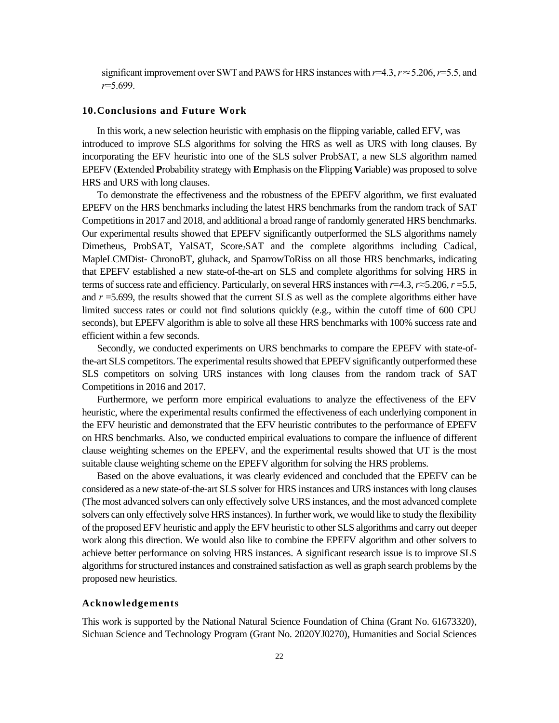significant improvement over SWT and PAWS for HRS instances with *r*=4.3, *r*≈5.206, *r*=5.5, and *r*=5.699.

### **10.Conclusions and Future Work**

In this work, a new selection heuristic with emphasis on the flipping variable, called EFV, was introduced to improve SLS algorithms for solving the HRS as well as URS with long clauses. By incorporating the EFV heuristic into one of the SLS solver ProbSAT, a new SLS algorithm named EPEFV (**E**xtended **P**robability strategy with **E**mphasis on the **F**lipping **V**ariable) was proposed to solve HRS and URS with long clauses.

To demonstrate the effectiveness and the robustness of the EPEFV algorithm, we first evaluated EPEFV on the HRS benchmarks including the latest HRS benchmarks from the random track of SAT Competitions in 2017 and 2018, and additional a broad range of randomly generated HRS benchmarks. Our experimental results showed that EPEFV significantly outperformed the SLS algorithms namely Dimetheus, ProbSAT, YalSAT, Score<sub>2</sub>SAT and the complete algorithms including Cadical, MapleLCMDist- ChronoBT, gluhack, and SparrowToRiss on all those HRS benchmarks, indicating that EPEFV established a new state-of-the-art on SLS and complete algorithms for solving HRS in terms of success rate and efficiency. Particularly, on several HRS instances with *r*=4.3, *r*≈5.206, *r* =5.5, and *r* =5.699, the results showed that the current SLS as well as the complete algorithms either have limited success rates or could not find solutions quickly (e.g., within the cutoff time of 600 CPU seconds), but EPEFV algorithm is able to solve all these HRS benchmarks with 100% success rate and efficient within a few seconds.

Secondly, we conducted experiments on URS benchmarks to compare the EPEFV with state-ofthe-art SLS competitors. The experimental results showed that EPEFV significantly outperformed these SLS competitors on solving URS instances with long clauses from the random track of SAT Competitions in 2016 and 2017.

Furthermore, we perform more empirical evaluations to analyze the effectiveness of the EFV heuristic, where the experimental results confirmed the effectiveness of each underlying component in the EFV heuristic and demonstrated that the EFV heuristic contributes to the performance of EPEFV on HRS benchmarks. Also, we conducted empirical evaluations to compare the influence of different clause weighting schemes on the EPEFV, and the experimental results showed that UT is the most suitable clause weighting scheme on the EPEFV algorithm for solving the HRS problems.

Based on the above evaluations, it was clearly evidenced and concluded that the EPEFV can be considered as a new state-of-the-art SLS solver for HRS instances and URS instances with long clauses (The most advanced solvers can only effectively solve URS instances, and the most advanced complete solvers can only effectively solve HRS instances). In further work, we would like to study the flexibility of the proposed EFV heuristic and apply the EFV heuristic to other SLS algorithms and carry out deeper work along this direction. We would also like to combine the EPEFV algorithm and other solvers to achieve better performance on solving HRS instances. A significant research issue is to improve SLS algorithms for structured instances and constrained satisfaction as well as graph search problems by the proposed new heuristics.

### **Acknowledgements**

This work is supported by the National Natural Science Foundation of China (Grant No. 61673320), Sichuan Science and Technology Program (Grant No. 2020YJ0270), Humanities and Social Sciences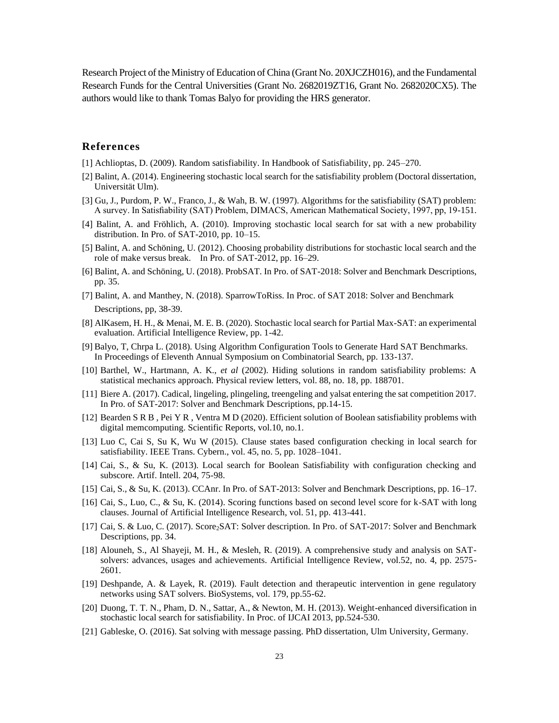Research Project of the Ministry of Education of China (Grant No. 20XJCZH016), and the Fundamental Research Funds for the Central Universities (Grant No. 2682019ZT16, Grant No. 2682020CX5). The authors would like to thank Tomas Balyo for providing the HRS generator.

# **References**

- [1] Achlioptas, D. (2009). Random satisfiability. In Handbook of Satisfiability, pp. 245–270.
- [2] Balint, A. (2014). Engineering stochastic local search for the satisfiability problem (Doctoral dissertation, Universität Ulm).
- [3] Gu, J., Purdom, P. W., Franco, J., & Wah, B. W. (1997). Algorithms for the satisfiability (SAT) problem: A survey. In Satisfiability (SAT) Problem, DIMACS, American Mathematical Society, 1997, pp, 19-151.
- [4] Balint, A. and Fröhlich, A. (2010). Improving stochastic local search for sat with a new probability distribution. In Pro. of SAT-2010, pp. 10–15.
- [5] Balint, A. and Schöning, U. (2012). Choosing probability distributions for stochastic local search and the role of make versus break. In Pro. of SAT-2012, pp. 16–29.
- [6] Balint, A. and Schöning, U. (2018). ProbSAT. In Pro. of SAT-2018: Solver and Benchmark Descriptions, pp. 35.
- [7] Balint, A. and Manthey, N. (2018). SparrowToRiss. In Proc. of SAT 2018: Solver and Benchmark Descriptions, pp, 38-39.
- [8] AlKasem, H. H., & Menai, M. E. B. (2020). Stochastic local search for Partial Max-SAT: an experimental evaluation. Artificial Intelligence Review, pp. 1-42.
- [9] Balyo, T, Chrpa L. (2018). Using Algorithm Configuration Tools to Generate Hard SAT Benchmarks. In Proceedings of Eleventh Annual Symposium on Combinatorial Search, pp. 133-137.
- [10] Barthel, W., Hartmann, A. K., *et al* (2002). Hiding solutions in random satisfiability problems: A statistical mechanics approach. Physical review letters, vol. 88, no. 18, pp. 188701.
- [11] Biere A. (2017). Cadical, lingeling, plingeling, treengeling and yalsat entering the sat competition 2017. In Pro. of SAT-2017: Solver and Benchmark Descriptions, pp.14-15.
- [12] Bearden S R B , Pei Y R , Ventra M D (2020). Efficient solution of Boolean satisfiability problems with digital memcomputing. Scientific Reports, vol.10, no.1.
- [13] Luo C, Cai S, Su K, Wu W (2015). Clause states based configuration checking in local search for satisfiability. IEEE Trans. Cybern., vol. 45, no. 5, pp. 1028–1041.
- [14] Cai, S., & Su, K. (2013). Local search for Boolean Satisfiability with configuration checking and subscore. Artif. Intell. 204, 75-98.
- [15] Cai, S., & Su, K. (2013). CCAnr. In Pro. of SAT-2013: Solver and Benchmark Descriptions, pp. 16–17.
- [16] Cai, S., Luo, C., & Su, K. (2014). Scoring functions based on second level score for k-SAT with long clauses. Journal of Artificial Intelligence Research, vol. 51, pp. 413-441.
- [17] Cai, S. & Luo, C. (2017). Score2SAT: Solver description. In Pro. of SAT-2017: Solver and Benchmark Descriptions, pp. 34.
- [18] Alouneh, S., Al Shayeji, M. H., & Mesleh, R. (2019). A comprehensive study and analysis on SATsolvers: advances, usages and achievements. Artificial Intelligence Review, vol.52, no. 4, pp. 2575- 2601.
- [19] Deshpande, A. & Layek, R. (2019). Fault detection and therapeutic intervention in gene regulatory networks using SAT solvers. BioSystems, vol. 179, pp.55-62.
- [20] Duong, T. T. N., Pham, D. N., Sattar, A., & Newton, M. H. (2013). Weight-enhanced diversification in stochastic local search for satisfiability. In Proc. of IJCAI 2013, pp.524-530.
- [21] Gableske, O. (2016). Sat solving with message passing. PhD dissertation, Ulm University, Germany.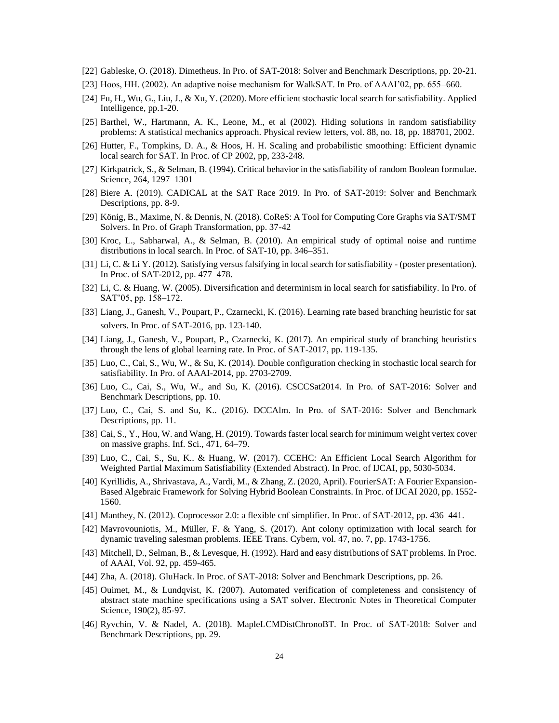- [22] Gableske, O. (2018). Dimetheus. In Pro. of SAT-2018: Solver and Benchmark Descriptions, pp. 20-21.
- [23] Hoos, HH. (2002). An adaptive noise mechanism for WalkSAT. In Pro. of AAAI'02, pp. 655–660.
- [24] Fu, H., Wu, G., Liu, J., & Xu, Y. (2020). More efficient stochastic local search for satisfiability. Applied Intelligence, pp.1-20.
- [25] Barthel, W., Hartmann, A. K., Leone, M., et al (2002). Hiding solutions in random satisfiability problems: A statistical mechanics approach. Physical review letters, vol. 88, no. 18, pp. 188701, 2002.
- [26] Hutter, F., Tompkins, D. A., & Hoos, H. H. Scaling and probabilistic smoothing: Efficient dynamic local search for SAT. In Proc. of CP 2002, pp, 233-248.
- [27] Kirkpatrick, S., & Selman, B. (1994). Critical behavior in the satisfiability of random Boolean formulae. Science, 264, 1297–1301
- [28] Biere A. (2019). CADICAL at the SAT Race 2019. In Pro. of SAT-2019: Solver and Benchmark Descriptions, pp. 8-9.
- [29] König, B., Maxime, N. & Dennis, N. (2018). CoReS: A Tool for Computing Core Graphs via SAT/SMT Solvers. In Pro. of Graph Transformation, pp. 37-42
- [30] Kroc, L., Sabharwal, A., & Selman, B. (2010). An empirical study of optimal noise and runtime distributions in local search. In Proc. of SAT-10, pp. 346–351.
- [31] Li, C. & Li Y. (2012). Satisfying versus falsifying in local search for satisfiability (poster presentation). In Proc. of SAT-2012, pp. 477–478.
- [32] Li, C. & Huang, W. (2005). Diversification and determinism in local search for satisfiability. In Pro. of SAT'05, pp. 158–172.
- [33] Liang, J., Ganesh, V., Poupart, P., Czarnecki, K. (2016). Learning rate based branching heuristic for sat solvers. In Proc. of SAT-2016, pp. 123-140.
- [34] Liang, J., Ganesh, V., Poupart, P., Czarnecki, K. (2017). An empirical study of branching heuristics through the lens of global learning rate. In Proc. of SAT-2017, pp. 119-135.
- [35] Luo, C., Cai, S., Wu, W., & Su, K. (2014). Double configuration checking in stochastic local search for satisfiability. In Pro. of AAAI-2014, pp. 2703-2709.
- [36] Luo, C., Cai, S., Wu, W., and Su, K. (2016). CSCCSat2014. In Pro. of SAT-2016: Solver and Benchmark Descriptions, pp. 10.
- [37] Luo, C., Cai, S. and Su, K.. (2016). DCCAlm. In Pro. of SAT-2016: Solver and Benchmark Descriptions, pp. 11.
- [38] Cai, S., Y., Hou, W. and Wang, H. (2019). Towards faster local search for minimum weight vertex cover on massive graphs. Inf. Sci., 471, 64–79.
- [39] Luo, C., Cai, S., Su, K.. & Huang, W. (2017). CCEHC: An Efficient Local Search Algorithm for Weighted Partial Maximum Satisfiability (Extended Abstract). In Proc. of IJCAI, pp, 5030-5034.
- [40] Kyrillidis, A., Shrivastava, A., Vardi, M., & Zhang, Z. (2020, April). FourierSAT: A Fourier Expansion-Based Algebraic Framework for Solving Hybrid Boolean Constraints. In Proc. of IJCAI 2020, pp. 1552- 1560.
- [41] Manthey, N. (2012). Coprocessor 2.0: a flexible cnf simplifier. In Proc. of SAT-2012, pp. 436–441.
- [42] Mavrovouniotis, M., Müller, F. & Yang, S. (2017). Ant colony optimization with local search for dynamic traveling salesman problems. IEEE Trans. Cybern, vol. 47, no. 7, pp. 1743-1756.
- [43] Mitchell, D., Selman, B., & Levesque, H. (1992). Hard and easy distributions of SAT problems. In Proc. of AAAI, Vol. 92, pp. 459-465.
- [44] Zha, A. (2018). GluHack. In Proc. of SAT-2018: Solver and Benchmark Descriptions, pp. 26.
- [45] Ouimet, M., & Lundqvist, K. (2007). Automated verification of completeness and consistency of abstract state machine specifications using a SAT solver. Electronic Notes in Theoretical Computer Science, 190(2), 85-97.
- [46] Ryvchin, V. & Nadel, A. (2018). MapleLCMDistChronoBT. In Proc. of SAT-2018: Solver and Benchmark Descriptions, pp. 29.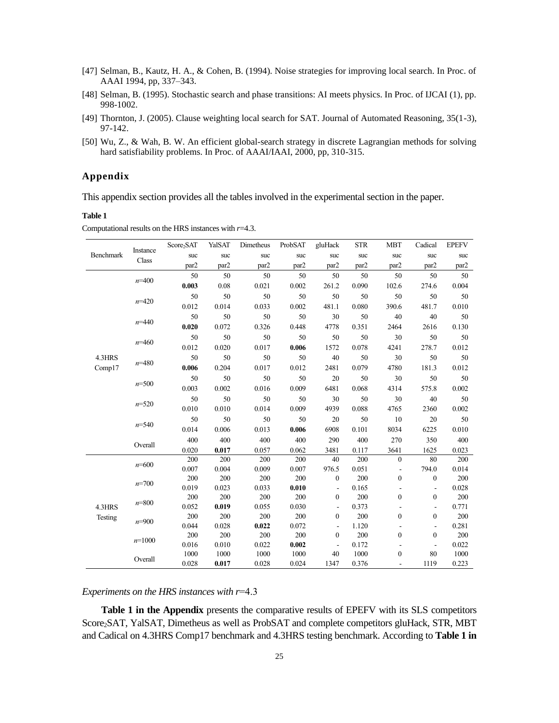- [47] Selman, B., Kautz, H. A., & Cohen, B. (1994). Noise strategies for improving local search. In Proc. of AAAI 1994, pp, 337–343.
- [48] Selman, B. (1995). Stochastic search and phase transitions: AI meets physics. In Proc. of IJCAI (1), pp. 998-1002.
- [49] Thornton, J. (2005). Clause weighting local search for SAT. Journal of Automated Reasoning, 35(1-3), 97-142.
- [50] Wu, Z., & Wah, B. W. An efficient global-search strategy in discrete Lagrangian methods for solving hard satisfiability problems. In Proc. of AAAI/IAAI, 2000, pp, 310-315.

# **Appendix**

This appendix section provides all the tables involved in the experimental section in the paper.

#### **Table 1**

Computational results on the HRS instances with *r*=4.3.

|           |           | Score <sub>2</sub> SAT | YalSAT | Dimetheus | ProbSAT | gluHack                  | <b>STR</b> | <b>MBT</b>     | Cadical                  | <b>EPEFV</b> |
|-----------|-----------|------------------------|--------|-----------|---------|--------------------------|------------|----------------|--------------------------|--------------|
| Benchmark | Instance  | suc                    | suc    | suc       | suc     | suc                      | suc        | suc            | suc                      | suc          |
|           | Class     | par2                   | par2   | par2      | par2    | par2                     | par2       | par2           | par2                     | par2         |
|           |           | 50                     | 50     | 50        | 50      | 50                       | 50         | 50             | 50                       | 50           |
|           | $n = 400$ | 0.003                  | 0.08   | 0.021     | 0.002   | 261.2                    | 0.090      | 102.6          | 274.6                    | 0.004        |
|           |           | 50                     | 50     | 50        | 50      | 50                       | 50         | 50             | 50                       | 50           |
|           | $n=420$   | 0.012                  | 0.014  | 0.033     | 0.002   | 481.1                    | 0.080      | 390.6          | 481.7                    | 0.010        |
|           |           | 50                     | 50     | 50        | 50      | 30                       | 50         | 40             | 40                       | 50           |
|           | $n = 440$ | 0.020                  | 0.072  | 0.326     | 0.448   | 4778                     | 0.351      | 2464           | 2616                     | 0.130        |
|           |           | 50                     | 50     | 50        | 50      | 50                       | 50         | 30             | 50                       | 50           |
|           | $n=460$   | 0.012                  | 0.020  | 0.017     | 0.006   | 1572                     | 0.078      | 4241           | 278.7                    | 0.012        |
| 4.3HRS    |           | 50                     | 50     | 50        | 50      | 40                       | 50         | 30             | 50                       | 50           |
| Comp17    | $n = 480$ | 0.006                  | 0.204  | 0.017     | 0.012   | 2481                     | 0.079      | 4780           | 181.3                    | 0.012        |
|           |           | 50                     | 50     | 50        | 50      | 20                       | 50         | 30             | 50                       | 50           |
|           | $n = 500$ | 0.003                  | 0.002  | 0.016     | 0.009   | 6481                     | 0.068      | 4314           | 575.8                    | 0.002        |
|           |           | 50                     | 50     | 50        | 50      | 30                       | 50         | 30             | 40                       | 50           |
|           | $n = 520$ | 0.010                  | 0.010  | 0.014     | 0.009   | 4939                     | 0.088      | 4765           | 2360                     | 0.002        |
|           |           | 50                     | 50     | 50        | 50      | 20                       | 50         | 10             | 20                       | 50           |
|           | $n = 540$ | 0.014                  | 0.006  | 0.013     | 0.006   | 6908                     | 0.101      | 8034           | 6225                     | 0.010        |
|           |           | 400                    | 400    | 400       | 400     | 290                      | 400        | 270            | 350                      | 400          |
|           | Overall   | 0.020                  | 0.017  | 0.057     | 0.062   | 3481                     | 0.117      | 3641           | 1625                     | 0.023        |
|           |           | 200                    | 200    | 200       | 200     | 40                       | 200        | $\mathbf{0}$   | 80                       | 200          |
|           | $n = 600$ | 0.007                  | 0.004  | 0.009     | 0.007   | 976.5                    | 0.051      | $\blacksquare$ | 794.0                    | 0.014        |
|           |           | 200                    | 200    | 200       | 200     | $\mathbf{0}$             | 200        | $\mathbf{0}$   | $\boldsymbol{0}$         | 200          |
|           | $n = 700$ | 0.019                  | 0.023  | 0.033     | 0.010   | $\overline{\phantom{a}}$ | 0.165      | ÷.             |                          | 0.028        |
|           | $n = 800$ | 200                    | 200    | 200       | 200     | $\boldsymbol{0}$         | 200        | $\overline{0}$ | $\boldsymbol{0}$         | 200          |
| 4.3HRS    |           | 0.052                  | 0.019  | 0.055     | 0.030   | $\blacksquare$           | 0.373      | ÷,             | $\blacksquare$           | 0.771        |
| Testing   | $n = 900$ | 200                    | 200    | 200       | 200     | $\mathbf{0}$             | 200        | $\mathbf{0}$   | $\boldsymbol{0}$         | 200          |
|           |           | 0.044                  | 0.028  | 0.022     | 0.072   | $\overline{\phantom{a}}$ | 1.120      | $\overline{a}$ | $\overline{\phantom{a}}$ | 0.281        |
|           | $n=1000$  | 200                    | 200    | 200       | 200     | $\boldsymbol{0}$         | 200        | $\mathbf{0}$   | $\boldsymbol{0}$         | 200          |
|           |           | 0.016                  | 0.010  | 0.022     | 0.002   | $\sim$                   | 0.172      | ÷.             | $\overline{\phantom{a}}$ | 0.022        |
|           | Overall   | 1000                   | 1000   | 1000      | 1000    | 40                       | 1000       | $\mathbf{0}$   | 80                       | 1000         |
|           |           | 0.028                  | 0.017  | 0.028     | 0.024   | 1347                     | 0.376      |                | 1119                     | 0.223        |

*Experiments on the HRS instances with r*=4.3

**Table 1 in the Appendix** presents the comparative results of EPEFV with its SLS competitors Score2SAT, YalSAT, Dimetheus as well as ProbSAT and complete competitors gluHack, STR, MBT and Cadical on 4.3HRS Comp17 benchmark and 4.3HRS testing benchmark. According to **Table 1 in**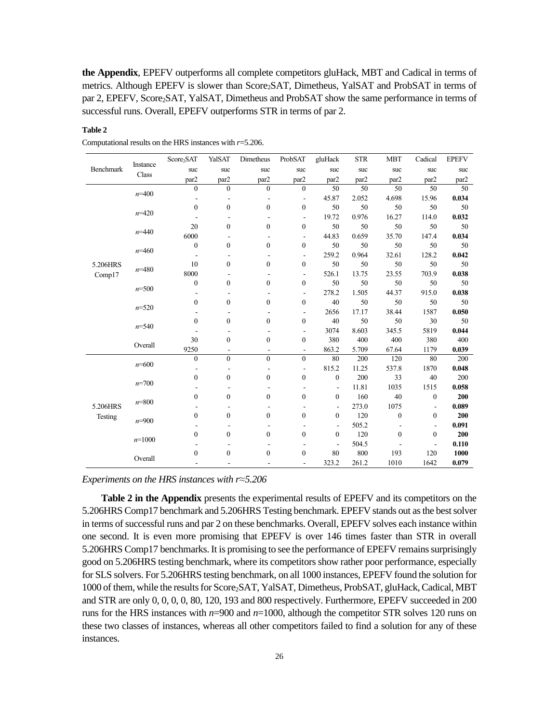**the Appendix**, EPEFV outperforms all complete competitors gluHack, MBT and Cadical in terms of metrics. Although EPEFV is slower than Score<sub>2</sub>SAT, Dimetheus, YalSAT and ProbSAT in terms of par 2, EPEFV, Score<sub>2</sub>SAT, YalSAT, Dimetheus and ProbSAT show the same performance in terms of successful runs. Overall, EPEFV outperforms STR in terms of par 2.

### **Table 2**

|           | Instance  | Score <sub>2</sub> SAT | YalSAT           | Dimetheus                | ProbSAT                  | gluHack      | <b>STR</b> | <b>MBT</b>   | Cadical                  | <b>EPEFV</b> |
|-----------|-----------|------------------------|------------------|--------------------------|--------------------------|--------------|------------|--------------|--------------------------|--------------|
| Benchmark |           | suc                    | suc              | suc                      | suc                      | suc          | suc        | suc          | suc                      | suc          |
|           | Class     | par2                   | par2             | par2                     | par2                     | par2         | par2       | par2         | par2                     | par2         |
|           |           | $\mathbf{0}$           | $\overline{0}$   | $\mathbf{0}$             | $\mathbf{0}$             | 50           | 50         | 50           | 50                       | 50           |
|           | $n = 400$ |                        | L,               | $\overline{a}$           | $\overline{\phantom{m}}$ | 45.87        | 2.052      | 4.698        | 15.96                    | 0.034        |
|           |           | $\mathbf{0}$           | $\mathbf{0}$     | $\mathbf{0}$             | $\mathbf{0}$             | 50           | 50         | 50           | 50                       | 50           |
|           | $n = 420$ |                        | ٠                | ٠                        | $\overline{\phantom{a}}$ | 19.72        | 0.976      | 16.27        | 114.0                    | 0.032        |
|           |           | 20                     | $\mathbf{0}$     | $\mathbf{0}$             | $\boldsymbol{0}$         | 50           | 50         | 50           | 50                       | 50           |
|           | $n = 440$ | 6000                   |                  |                          | $\overline{a}$           | 44.83        | 0.659      | 35.70        | 147.4                    | 0.034        |
|           |           | $\boldsymbol{0}$       | $\boldsymbol{0}$ | $\mathbf{0}$             | $\boldsymbol{0}$         | 50           | 50         | 50           | 50                       | 50           |
|           | $n=460$   |                        | ٠                |                          | $\overline{\phantom{a}}$ | 259.2        | 0.964      | 32.61        | 128.2                    | 0.042        |
| 5.206HRS  |           | 10                     | $\mathbf{0}$     | $\bf{0}$                 | $\boldsymbol{0}$         | 50           | 50         | 50           | 50                       | $50\,$       |
| Comp17    | $n = 480$ | 8000                   |                  |                          | $\overline{\phantom{a}}$ | 526.1        | 13.75      | 23.55        | 703.9                    | 0.038        |
|           |           | $\boldsymbol{0}$       | $\boldsymbol{0}$ | $\mathbf{0}$             | $\boldsymbol{0}$         | 50           | 50         | 50           | 50                       | $50\,$       |
|           | $n = 500$ |                        |                  | $\overline{\phantom{0}}$ | ÷,                       | 278.2        | 1.505      | 44.37        | 915.0                    | 0.038        |
|           |           | $\mathbf{0}$           | $\mathbf{0}$     | $\bf{0}$                 | $\boldsymbol{0}$         | 40           | 50         | 50           | 50                       | 50           |
|           | $n = 520$ |                        |                  |                          | $\overline{a}$           | 2656         | 17.17      | 38.44        | 1587                     | 0.050        |
|           |           | $\boldsymbol{0}$       | $\boldsymbol{0}$ | $\mathbf{0}$             | $\boldsymbol{0}$         | 40           | 50         | 50           | 30                       | 50           |
|           | $n = 540$ |                        |                  |                          | $\overline{a}$           | 3074         | 8.603      | 345.5        | 5819                     | 0.044        |
|           |           | 30                     | $\mathbf{0}$     | $\mathbf{0}$             | $\boldsymbol{0}$         | 380          | 400        | 400          | 380                      | 400          |
|           | Overall   | 9250                   | L,               | $\overline{\phantom{a}}$ | $\overline{a}$           | 863.2        | 5.709      | 67.64        | 1179                     | 0.039        |
|           |           | $\theta$               | $\theta$         | $\theta$                 | $\theta$                 | 80           | 200        | 120          | 80                       | 200          |
|           | $n = 600$ |                        | L,               | $\overline{\phantom{a}}$ | $\overline{a}$           | 815.2        | 11.25      | 537.8        | 1870                     | 0.048        |
|           |           | $\mathbf{0}$           | $\mathbf{0}$     | $\mathbf{0}$             | $\mathbf{0}$             | $\mathbf{0}$ | 200        | 33           | 40                       | 200          |
|           | $n = 700$ |                        | ٠                |                          |                          | ÷,           | 11.81      | 1035         | 1515                     | 0.058        |
|           |           | $\mathbf{0}$           | $\mathbf{0}$     | $\mathbf{0}$             | $\mathbf{0}$             | $\mathbf{0}$ | 160        | 40           | $\boldsymbol{0}$         | 200          |
| 5.206HRS  | $n = 800$ |                        |                  | ٠                        |                          | ÷,           | 273.0      | 1075         | $\sim$                   | 0.089        |
| Testing   |           | $\mathbf{0}$           | $\mathbf{0}$     | $\overline{0}$           | $\mathbf{0}$             | $\mathbf{0}$ | 120        | $\mathbf{0}$ | $\mathbf{0}$             | 200          |
|           | $n = 900$ |                        | ٠                | ٠                        |                          | ٠            | 505.2      |              | $\overline{\phantom{a}}$ | 0.091        |
|           |           | $\mathbf{0}$           | $\mathbf{0}$     | $\mathbf{0}$             | $\mathbf{0}$             | $\mathbf{0}$ | 120        | $\mathbf{0}$ | $\boldsymbol{0}$         | 200          |
|           | $n=1000$  |                        |                  |                          |                          | ÷,           | 504.5      |              | L,                       | 0.110        |
|           |           | $\mathbf{0}$           | $\boldsymbol{0}$ | $\mathbf{0}$             | $\boldsymbol{0}$         | 80           | 800        | 193          | 120                      | 1000         |
|           | Overall   |                        |                  |                          | $\overline{a}$           | 323.2        | 261.2      | 1010         | 1642                     | 0.079        |

Computational results on the HRS instances with *r*=5.206.

*Experiments on the HRS instances with r*≈*5.206*

**Table 2 in the Appendix** presents the experimental results of EPEFV and its competitors on the 5.206HRS Comp17 benchmark and 5.206HRS Testing benchmark. EPEFV stands out as the best solver in terms of successful runs and par 2 on these benchmarks. Overall, EPEFV solves each instance within one second. It is even more promising that EPEFV is over 146 times faster than STR in overall 5.206HRS Comp17 benchmarks. It is promising to see the performance of EPEFV remains surprisingly good on 5.206HRS testing benchmark, where its competitors show rather poor performance, especially for SLS solvers. For 5.206HRS testing benchmark, on all 1000 instances, EPEFV found the solution for 1000 of them, while the results for Score2SAT, YalSAT, Dimetheus, ProbSAT, gluHack, Cadical, MBT and STR are only 0, 0, 0, 0, 80, 120, 193 and 800 respectively. Furthermore, EPEFV succeeded in 200 runs for the HRS instances with *n*=900 and *n*=1000, although the competitor STR solves 120 runs on these two classes of instances, whereas all other competitors failed to find a solution for any of these instances.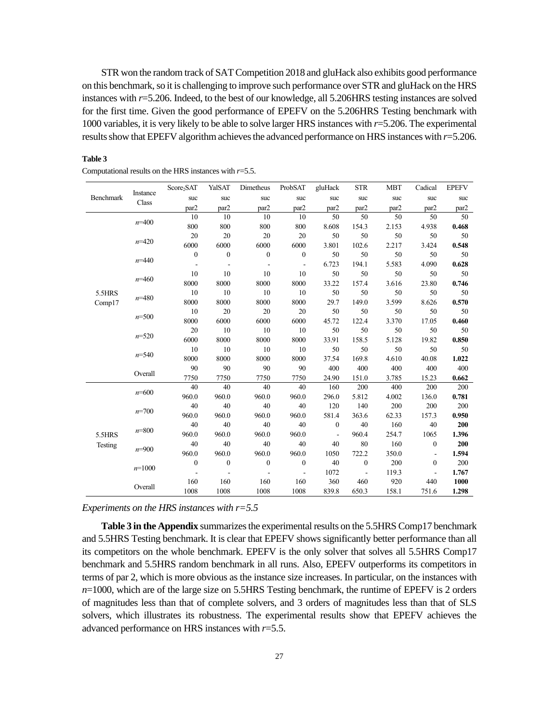STR won the random track of SAT Competition 2018 and gluHack also exhibits good performance on this benchmark, so it is challenging to improve such performance over STR and gluHack on the HRS instances with *r*=5.206. Indeed, to the best of our knowledge, all 5.206HRS testing instances are solved for the first time. Given the good performance of EPEFV on the 5.206HRS Testing benchmark with 1000 variables, it is very likely to be able to solve larger HRS instances with *r*=5.206. The experimental results show that EPEFV algorithm achieves the advanced performance on HRS instances with *r*=5.206.

|                  |           | Score <sub>2</sub> SAT | YalSAT                   | Dimetheus        | ProbSAT                  | gluHack        | <b>STR</b>       | <b>MBT</b> | Cadical        | <b>EPEFV</b> |
|------------------|-----------|------------------------|--------------------------|------------------|--------------------------|----------------|------------------|------------|----------------|--------------|
| <b>Benchmark</b> | Instance  | suc                    | suc                      | suc              | suc                      | suc            | suc              | suc        | suc            | suc          |
|                  | Class     | par2                   | par2                     | par2             | par2                     | par2           | par2             | par2       | par2           | par2         |
|                  |           | 10                     | 10                       | 10               | 10                       | 50             | 50               | 50         | 50             | 50           |
|                  | $n=400$   | 800                    | 800                      | 800              | 800                      | 8.608          | 154.3            | 2.153      | 4.938          | 0.468        |
|                  |           | 20                     | 20                       | 20               | 20                       | 50             | 50               | 50         | 50             | 50           |
|                  | $n=420$   | 6000                   | 6000                     | 6000             | 6000                     | 3.801          | 102.6            | 2.217      | 3.424          | 0.548        |
|                  |           | $\boldsymbol{0}$       | $\boldsymbol{0}$         | $\boldsymbol{0}$ | $\boldsymbol{0}$         | 50             | 50               | 50         | 50             | 50           |
|                  | $n = 440$ |                        | $\overline{\phantom{a}}$ |                  | $\overline{\phantom{a}}$ | 6.723          | 194.1            | 5.583      | 4.090          | 0.628        |
|                  |           | 10                     | 10                       | 10               | 10                       | 50             | 50               | 50         | 50             | 50           |
|                  | $n=460$   | 8000                   | 8000                     | 8000             | 8000                     | 33.22          | 157.4            | 3.616      | 23.80          | 0.746        |
| 5.5HRS           |           | 10                     | 10                       | 10               | 10                       | 50             | 50               | 50         | 50             | 50           |
| Comp17           | $n = 480$ | 8000                   | 8000                     | 8000             | 8000                     | 29.7           | 149.0            | 3.599      | 8.626          | 0.570        |
|                  |           | 10                     | 20                       | 20               | 20                       | 50             | 50               | 50         | 50             | 50           |
|                  | $n = 500$ | 8000                   | 6000                     | 6000             | 6000                     | 45.72          | 122.4            | 3.370      | 17.05          | 0.460        |
|                  |           | 20                     | 10                       | 10               | 10                       | 50             | 50               | 50         | 50             | 50           |
|                  | $n = 520$ | 6000                   | 8000                     | 8000             | 8000                     | 33.91          | 158.5            | 5.128      | 19.82          | 0.850        |
|                  |           | 10                     | 10                       | 10               | 10                       | 50             | 50               | 50         | 50             | 50           |
|                  | $n = 540$ | 8000                   | 8000                     | 8000             | 8000                     | 37.54          | 169.8            | 4.610      | 40.08          | 1.022        |
|                  |           | 90                     | 90                       | 90               | 90                       | 400            | 400              | 400        | 400            | 400          |
|                  | Overall   | 7750                   | 7750                     | 7750             | 7750                     | 24.90          | 151.0            | 3.785      | 15.23          | 0.662        |
|                  | $n = 600$ | 40                     | 40                       | 40               | 40                       | 160            | 200              | 400        | 200            | 200          |
|                  |           | 960.0                  | 960.0                    | 960.0            | 960.0                    | 296.0          | 5.812            | 4.002      | 136.0          | 0.781        |
|                  | $n=700$   | 40                     | 40                       | 40               | 40                       | 120            | 140              | 200        | 200            | 200          |
|                  |           | 960.0                  | 960.0                    | 960.0            | 960.0                    | 581.4          | 363.6            | 62.33      | 157.3          | 0.950        |
|                  | $n = 800$ | 40                     | 40                       | 40               | 40                       | $\mathbf{0}$   | 40               | 160        | 40             | 200          |
| 5.5HRS           |           | 960.0                  | 960.0                    | 960.0            | 960.0                    | $\blacksquare$ | 960.4            | 254.7      | 1065           | 1.396        |
| Testing          | $n = 900$ | 40                     | 40                       | 40               | 40                       | 40             | 80               | 160        | $\mathbf{0}$   | 200          |
|                  |           | 960.0                  | 960.0                    | 960.0            | 960.0                    | 1050           | 722.2            | 350.0      | $\blacksquare$ | 1.594        |
|                  | $n=1000$  | $\boldsymbol{0}$       | $\boldsymbol{0}$         | $\mathbf{0}$     | $\boldsymbol{0}$         | 40             | $\boldsymbol{0}$ | 200        | $\Omega$       | 200          |
|                  |           |                        |                          |                  | $\overline{\phantom{a}}$ | 1072           |                  | 119.3      | $\blacksquare$ | 1.767        |
|                  | Overall   | 160                    | 160                      | 160              | 160                      | 360            | 460              | 920        | 440            | 1000         |
|                  |           | 1008                   | 1008                     | 1008             | 1008                     | 839.8          | 650.3            | 158.1      | 751.6          | 1.298        |

#### **Table 3**

|  |  | Computational results on the HRS instances with $r=5.5$ . |  |
|--|--|-----------------------------------------------------------|--|
|  |  |                                                           |  |

*Experiments on the HRS instances with r=5.5*

**Table 3 in the Appendix** summarizes the experimental results on the 5.5HRS Comp17 benchmark and 5.5HRS Testing benchmark. It is clear that EPEFV shows significantly better performance than all its competitors on the whole benchmark. EPEFV is the only solver that solves all 5.5HRS Comp17 benchmark and 5.5HRS random benchmark in all runs. Also, EPEFV outperforms its competitors in terms of par 2, which is more obvious as the instance size increases. In particular, on the instances with *n*=1000, which are of the large size on 5.5HRS Testing benchmark, the runtime of EPEFV is 2 orders of magnitudes less than that of complete solvers, and 3 orders of magnitudes less than that of SLS solvers, which illustrates its robustness. The experimental results show that EPEFV achieves the advanced performance on HRS instances with *r*=5.5.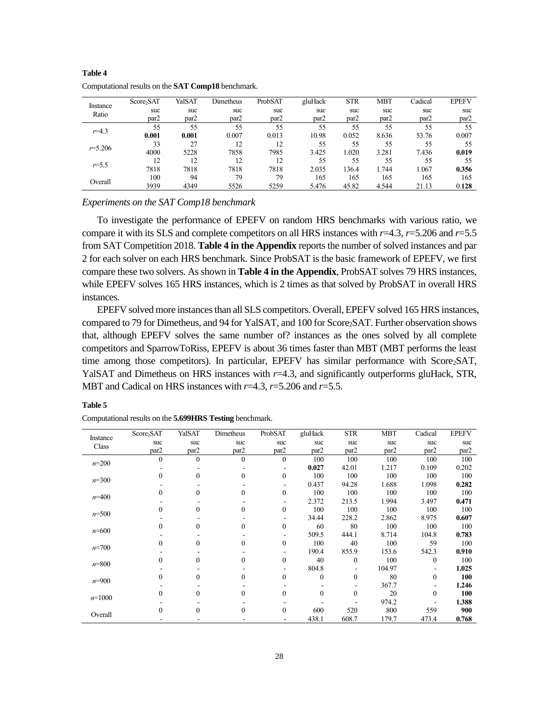|                   | Score <sub>2</sub> SAT | YalSAT           | Dimetheus        | ProbSAT          | gluHack          | <b>STR</b> | <b>MBT</b>       | Cadical          | <b>EPEFV</b> |
|-------------------|------------------------|------------------|------------------|------------------|------------------|------------|------------------|------------------|--------------|
| Instance<br>Ratio | suc                    | suc              | suc              | suc              | suc              | suc        | suc              | suc              | suc          |
|                   | par <sub>2</sub>       | par <sub>2</sub> | par <sub>2</sub> | par <sub>2</sub> | par <sub>2</sub> | par2       | par <sub>2</sub> | par <sub>2</sub> | par2         |
| $r = 4.3$         | 55                     | 55               | 55               | 55               | 55               | 55         | 55               | 55               | 55           |
|                   | 0.001                  | 0.001            | 0.007            | 0.013            | 10.98            | 0.052      | 8.636            | 53.76            | 0.007        |
| $r = 5.206$       | 33                     | 27               | 12               | 12               | 55               | 55         | 55               | 55               | 55           |
|                   | 4000                   | 5228             | 7858             | 7985             | 3.425            | 1.020      | 3.281            | 7.436            | 0.019        |
| $r = 5.5$         | 12                     | 12               | 12               | 12               | 55               | 55         | 55               | 55               | 55           |
|                   | 7818                   | 7818             | 7818             | 7818             | 2.035            | 136.4      | 1.744            | 1.067            | 0.356        |
|                   | 100                    | 94               | 79               | 79               | 165              | 165        | 165              | 165              | 165          |
| Overall           | 3939                   | 4349             | 5526             | 5259             | 5.476            | 45.82      | 4.544            | 21.13            | 0.128        |

**Table 4** Computational results on the **SAT Comp18** benchmark.

*Experiments on the SAT Comp18 benchmark*

To investigate the performance of EPEFV on random HRS benchmarks with various ratio, we compare it with its SLS and complete competitors on all HRS instances with *r*=4.3, *r*=5.206 and *r*=5.5 from SAT Competition 2018. **Table 4 in the Appendix** reports the number of solved instances and par 2 for each solver on each HRS benchmark. Since ProbSAT is the basic framework of EPEFV, we first compare these two solvers. As shown in **Table 4 in the Appendix**, ProbSAT solves 79 HRS instances, while EPEFV solves 165 HRS instances, which is 2 times as that solved by ProbSAT in overall HRS instances.

EPEFV solved more instances than all SLS competitors. Overall, EPEFV solved 165 HRS instances, compared to 79 for Dimetheus, and 94 for YalSAT, and 100 for Score<sub>2</sub>SAT. Further observation shows that, although EPEFV solves the same number of? instances as the ones solved by all complete competitors and SparrowToRiss, EPEFV is about 36 times faster than MBT (MBT performs the least time among those competitors). In particular, EPEFV has similar performance with Score2SAT, YalSAT and Dimetheus on HRS instances with  $r=4.3$ , and significantly outperforms gluHack, STR, MBT and Cadical on HRS instances with *r*=4.3, *r*=5.206 and *r*=5.5.

| Instance  | Score <sub>2</sub> SAT | YalSAT           | Dimetheus        | ProbSAT      | gluHack  | <b>STR</b>       | <b>MBT</b> | Cadical          | <b>EPEFV</b> |
|-----------|------------------------|------------------|------------------|--------------|----------|------------------|------------|------------------|--------------|
| Class     | suc                    | suc              | suc              | suc          | suc      | suc              | suc        | suc              | suc          |
|           | par <sub>2</sub>       | par <sub>2</sub> | par <sub>2</sub> | par2         | par2     | par <sub>2</sub> | par2       | par <sub>2</sub> | par2         |
| $n=200$   | $\Omega$               | $\Omega$         | $\theta$         | $\theta$     | 100      | 100              | 100        | 100              | 100          |
|           |                        |                  |                  |              | 0.027    | 42.01            | 1.217      | 0.109            | 0.202        |
|           |                        |                  | $\Omega$         | $\theta$     | 100      | 100              | 100        | 100              | 100          |
| $n=300$   |                        |                  |                  |              | 0.437    | 94.28            | 1.688      | 1.098            | 0.282        |
|           |                        | 0                | 0                | $\mathbf{0}$ | 100      | 100              | 100        | 100              | 100          |
| $n=400$   |                        |                  |                  |              | 2.372    | 213.5            | 1.994      | 3.497            | 0.471        |
|           |                        | 0                | 0                | $\mathbf{0}$ | 100      | 100              | 100        | 100              | 100          |
| $n = 500$ |                        |                  |                  |              | 34.44    | 228.2            | 2.862      | 8.975            | 0.607        |
|           |                        | 0                | 0                | 0            | 60       | 80               | 100        | 100              | 100          |
| $n = 600$ |                        |                  |                  |              | 509.5    | 444.1            | 8.714      | 104.8            | 0.783        |
|           |                        | 0                | 0                | $\mathbf{0}$ | 100      | 40               | 100        | 59               | 100          |
| $n = 700$ |                        |                  |                  |              | 190.4    | 855.9            | 153.6      | 542.3            | 0.910        |
|           |                        | 0                | 0                | $\mathbf{0}$ | 40       | $\theta$         | 100        | $\theta$         | 100          |
| $n = 800$ |                        |                  |                  |              | 804.8    |                  | 104.97     |                  | 1.025        |
|           |                        | 0                | $\Omega$         | $\theta$     | $\Omega$ | 0                | 80         | $\mathbf{0}$     | 100          |
| $n = 900$ |                        |                  |                  |              |          |                  | 367.7      |                  | 1.246        |
|           |                        | 0                | 0                | $\theta$     | 0        | 0                | 20         | $\theta$         | 100          |
| $n=1000$  |                        |                  |                  |              |          |                  | 974.2      |                  | 1.388        |
|           |                        |                  |                  |              |          |                  |            |                  |              |
| Overall   |                        |                  | 0                | $\theta$     | 600      | 520              | 800        | 559              | 900          |
|           |                        |                  |                  |              | 438.1    | 608.7            | 179.7      | 473.4            | 0.768        |

Computational results on the **5.699HRS Testing** benchmark.

**Table 5**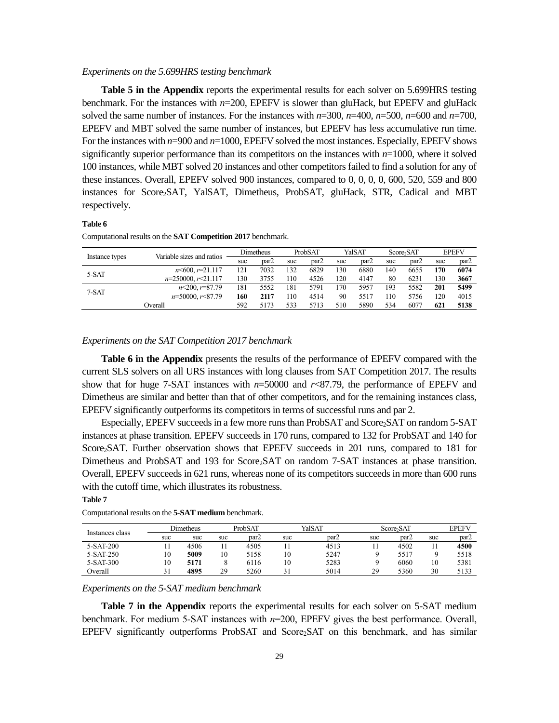#### *Experiments on the 5.699HRS testing benchmark*

**Table 5 in the Appendix** reports the experimental results for each solver on 5.699HRS testing benchmark. For the instances with *n*=200, EPEFV is slower than gluHack, but EPEFV and gluHack solved the same number of instances. For the instances with  $n=300$ ,  $n=400$ ,  $n=500$ ,  $n=600$  and  $n=700$ , EPEFV and MBT solved the same number of instances, but EPEFV has less accumulative run time. For the instances with *n*=900 and *n*=1000, EPEFV solved the most instances. Especially, EPEFV shows significantly superior performance than its competitors on the instances with  $n=1000$ , where it solved 100 instances, while MBT solved 20 instances and other competitors failed to find a solution for any of these instances. Overall, EPEFV solved 900 instances, compared to 0, 0, 0, 0, 600, 520, 559 and 800 instances for Score2SAT, YalSAT, Dimetheus, ProbSAT, gluHack, STR, Cadical and MBT respectively.

#### **Table 6**

| Computational results on the SAT Competition 2017 benchmark. |
|--------------------------------------------------------------|
|--------------------------------------------------------------|

|                | Variable sizes and ratios   |     | Dimetheus | YalSAT<br>ProbSAT |      |     | Score <sub>5</sub> AT |     | <b>EPEFV</b>         |                                        |                  |
|----------------|-----------------------------|-----|-----------|-------------------|------|-----|-----------------------|-----|----------------------|----------------------------------------|------------------|
| Instance types |                             | suc | par2      | suc               | par2 | suc | par2                  | suc | par <sub>2</sub>     | suc<br>170<br>130<br>201<br>120<br>621 | par <sub>2</sub> |
| 5-SAT          | $n \leq 600$ , $r = 21.117$ | 121 | 7032      | 132               | 6829 | 130 | 6880                  | 140 | 6655                 |                                        | 6074             |
|                | $n=250000, r<21.117$        | 130 | 3755      | 110               | 4526 | 120 | 4147                  | 80  | 6231<br>5582<br>5756 | 3667                                   |                  |
|                | $n \leq 200$ , $r = 87.79$  | 181 | 5552      | 181               | 5791 | 170 | 5957                  | 193 |                      |                                        | 5499             |
| 7-SAT          | $n=50000, r<87.79$          | 160 | 2117      | 110               | 4514 | 90  | 5517                  | 110 |                      |                                        | 4015             |
|                | Overall                     | 592 | 5173      | 533               | 5713 | 510 | 5890                  | 534 | 6077                 |                                        | 5138             |
|                |                             |     |           |                   |      |     |                       |     |                      |                                        |                  |

### *Experiments on the SAT Competition 2017 benchmark*

**Table 6 in the Appendix** presents the results of the performance of EPEFV compared with the current SLS solvers on all URS instances with long clauses from SAT Competition 2017. The results show that for huge 7-SAT instances with  $n=50000$  and  $r<87.79$ , the performance of EPEFV and Dimetheus are similar and better than that of other competitors, and for the remaining instances class, EPEFV significantly outperforms its competitors in terms of successful runs and par 2.

Especially, EPEFV succeeds in a few more runs than ProbSAT and Score<sub>2</sub>SAT on random 5-SAT instances at phase transition. EPEFV succeeds in 170 runs, compared to 132 for ProbSAT and 140 for Score2SAT. Further observation shows that EPEFV succeeds in 201 runs, compared to 181 for Dimetheus and ProbSAT and 193 for Score<sub>2</sub>SAT on random 7-SAT instances at phase transition. Overall, EPEFV succeeds in 621 runs, whereas none of its competitors succeeds in more than 600 runs with the cutoff time, which illustrates its robustness.

### **Table 7**

|                 |     | Dimetheus |     | ProbSAT |     | YalSAT |     | Score <sub>5</sub> SAT |     | <b>EPEFV</b>     |
|-----------------|-----|-----------|-----|---------|-----|--------|-----|------------------------|-----|------------------|
| Instances class | suc | suc       | suc | par2    | suc | par2   | suc | par <sub>2</sub>       | suc | par <sub>2</sub> |
| $5-SAT-200$     |     | 4506      |     | 4505    |     | 4513   |     | 4502                   |     | 4500             |
| 5-SAT-250       | 10  | 5009      | 10  | 5158    | 10  | 5247   |     | 5517                   |     | 5518             |
| 5-SAT-300       | 10  | 5171      |     | 6116    | 10  | 5283   |     | 6060                   | 10  | 5381             |
| Overall         | 31  | 4895      | 29  | 5260    |     | 5014   | 29  | 5360                   | 30  | 5133             |

Computational results on the **5-SAT medium** benchmark.

### *Experiments on the 5-SAT medium benchmark*

**Table 7 in the Appendix** reports the experimental results for each solver on 5-SAT medium benchmark. For medium 5-SAT instances with *n*=200, EPEFV gives the best performance. Overall, EPEFV significantly outperforms ProbSAT and Score2SAT on this benchmark, and has similar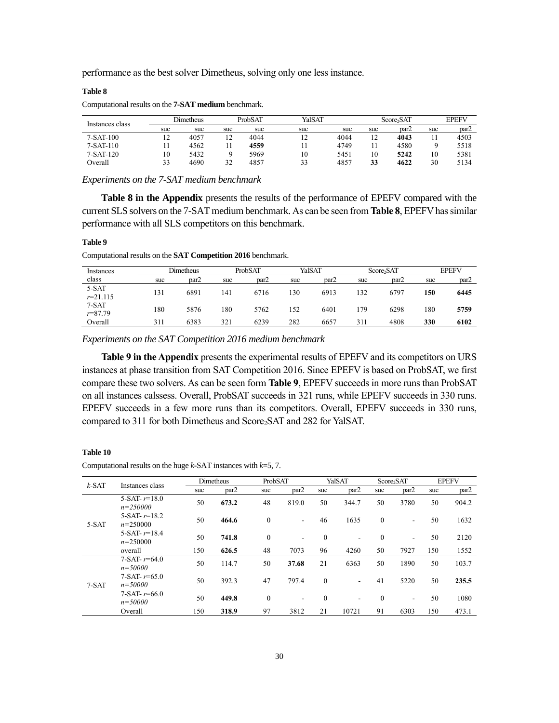performance as the best solver Dimetheus, solving only one less instance.

#### **Table 8**

Computational results on the **7-SAT medium** benchmark.

| Instances class | Dimetheus |      |                      | ProbSAT | YalSAT |      |         | Score <sub>5</sub> SAT |     | <b>EPEFV</b>     |
|-----------------|-----------|------|----------------------|---------|--------|------|---------|------------------------|-----|------------------|
|                 | suc       | suc  | suc                  | suc     | suc    | suc  | suc     | par <sub>2</sub>       | suc | par <sub>2</sub> |
| $7-SAT-100$     | 12        | 4057 | 12<br>$\overline{1}$ | 4044    | 12     | 4044 | 12<br>∸ | 4043                   |     | 4503             |
| $7-SAT-110$     | 11        | 4562 |                      | 4559    |        | 4749 |         | 4580                   |     | 5518             |
| $7-SAT-120$     | 10        | 5432 |                      | 5969    | 10     | 5451 | 10      | 5242                   | 10  | 5381             |
| Overall         | 33        | 4690 | 32                   | 4857    | 33     | 4857 | 33      | 4622                   | 30  | 5134             |

*Experiments on the 7-SAT medium benchmark*

**Table 8 in the Appendix** presents the results of the performance of EPEFV compared with the current SLS solvers on the 7-SAT medium benchmark. As can be seen from **Table 8**, EPEFV has similar performance with all SLS competitors on this benchmark.

### **Table 9**

Computational results on the **SAT Competition 2016** benchmark.

| Instances               | Dimetheus |      |     | ProbSAT |     | YalSAT           |     | Score <sub>2</sub> SAT |     | <b>EPEFV</b> |
|-------------------------|-----------|------|-----|---------|-----|------------------|-----|------------------------|-----|--------------|
| class                   | suc       | par2 | suc | par2    | suc | par <sub>2</sub> | suc | par <sub>2</sub>       | suc | par2         |
| $5-SAT$<br>$r = 21.115$ | 131       | 6891 | 141 | 6716    | 130 | 6913             | 132 | 6797                   | 150 | 6445         |
| 7-SAT<br>$r = 87.79$    | 180       | 5876 | 180 | 5762    | 152 | 6401             | 179 | 6298                   | 180 | 5759         |
| Overall                 | 311       | 6383 | 321 | 6239    | 282 | 6657             | 31. | 4808                   | 330 | 6102         |

*Experiments on the SAT Competition 2016 medium benchmark*

**Table 9 in the Appendix** presents the experimental results of EPEFV and its competitors on URS instances at phase transition from SAT Competition 2016. Since EPEFV is based on ProbSAT, we first compare these two solvers. As can be seen form **Table 9**, EPEFV succeeds in more runs than ProbSAT on all instances calssess. Overall, ProbSAT succeeds in 321 runs, while EPEFV succeeds in 330 runs. EPEFV succeeds in a few more runs than its competitors. Overall, EPEFV succeeds in 330 runs, compared to 311 for both Dimetheus and Score2SAT and 282 for YalSAT.

#### **Table 10**

Computational results on the huge *k*-SAT instances with *k*=5, 7.

| $k$ -SAT | Instances class                   |     | Dimetheus | ProbSAT      |                          |              | YalSAT                   |              | Score <sub>2</sub> SAT |     | <b>EPEFV</b> |
|----------|-----------------------------------|-----|-----------|--------------|--------------------------|--------------|--------------------------|--------------|------------------------|-----|--------------|
|          |                                   | suc | par2      | suc          | par <sub>2</sub>         | suc          | par <sub>2</sub>         | suc          | par2                   | suc | par2         |
|          | 5-SAT- $r=18.0$<br>$n = 250000$   | 50  | 673.2     | 48           | 819.0                    | 50           | 344.7                    | 50           | 3780                   | 50  | 904.2        |
| $5-SAT$  | 5-SAT- $r=18.2$<br>$n=250000$     | 50  | 464.6     | $\mathbf{0}$ | $\overline{\phantom{0}}$ | 46           | 1635                     | $\mathbf{0}$ | ٠                      | 50  | 1632         |
|          | 5-SAT- $r=18.4$<br>$n=250000$     | 50  | 741.8     | $\theta$     | ٠                        | $\mathbf{0}$ | $\overline{\phantom{a}}$ | $\theta$     | ٠                      | 50  | 2120         |
|          | overall                           | 150 | 626.5     | 48           | 7073                     | 96           | 4260                     | 50           | 7927                   | 150 | 1552         |
|          | $7-SAT - r = 64.0$<br>$n = 50000$ | 50  | 114.7     | 50           | 37.68                    | 21           | 6363                     | 50           | 1890                   | 50  | 103.7        |
| $7-SAT$  | $7-SAT - r = 65.0$<br>$n = 50000$ | 50  | 392.3     | 47           | 797.4                    | $\mathbf{0}$ | $\overline{\phantom{a}}$ | 41           | 5220                   | 50  | 235.5        |
|          | $7-SAT - r = 66.0$<br>$n = 50000$ | 50  | 449.8     | $\theta$     | -                        | $\mathbf{0}$ | ۰                        | $\theta$     | ۰                      | 50  | 1080         |
|          | Overall                           | 150 | 318.9     | 97           | 3812                     | 21           | 10721                    | 91           | 6303                   | 150 | 473.1        |